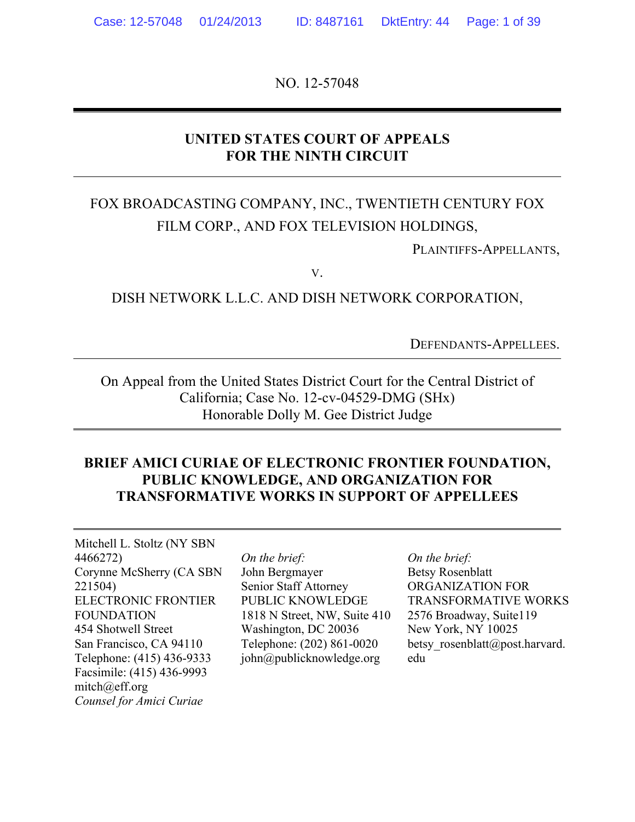NO. 12-57048

## **UNITED STATES COURT OF APPEALS FOR THE NINTH CIRCUIT**

# FOX BROADCASTING COMPANY, INC., TWENTIETH CENTURY FOX FILM CORP., AND FOX TELEVISION HOLDINGS,

PLAINTIFFS-APPELLANTS,

V.

DISH NETWORK L.L.C. AND DISH NETWORK CORPORATION,

DEFENDANTS-APPELLEES.

On Appeal from the United States District Court for the Central District of California; Case No. 12-cv-04529-DMG (SHx) Honorable Dolly M. Gee District Judge

### **BRIEF AMICI CURIAE OF ELECTRONIC FRONTIER FOUNDATION, PUBLIC KNOWLEDGE, AND ORGANIZATION FOR TRANSFORMATIVE WORKS IN SUPPORT OF APPELLEES**

Mitchell L. Stoltz (NY SBN 4466272) Corynne McSherry (CA SBN 221504) ELECTRONIC FRONTIER FOUNDATION 454 Shotwell Street San Francisco, CA 94110 Telephone: (415) 436-9333 Facsimile: (415) 436-9993 mitch@eff.org *Counsel for Amici Curiae*

*On the brief:* John Bergmayer Senior Staff Attorney PUBLIC KNOWLEDGE 1818 N Street, NW, Suite 410 Washington, DC 20036 Telephone: (202) 861-0020 john@publicknowledge.org

*On the brief:* Betsy Rosenblatt ORGANIZATION FOR TRANSFORMATIVE WORKS 2576 Broadway, Suite119 New York, NY 10025 betsy rosenblatt@post.harvard. edu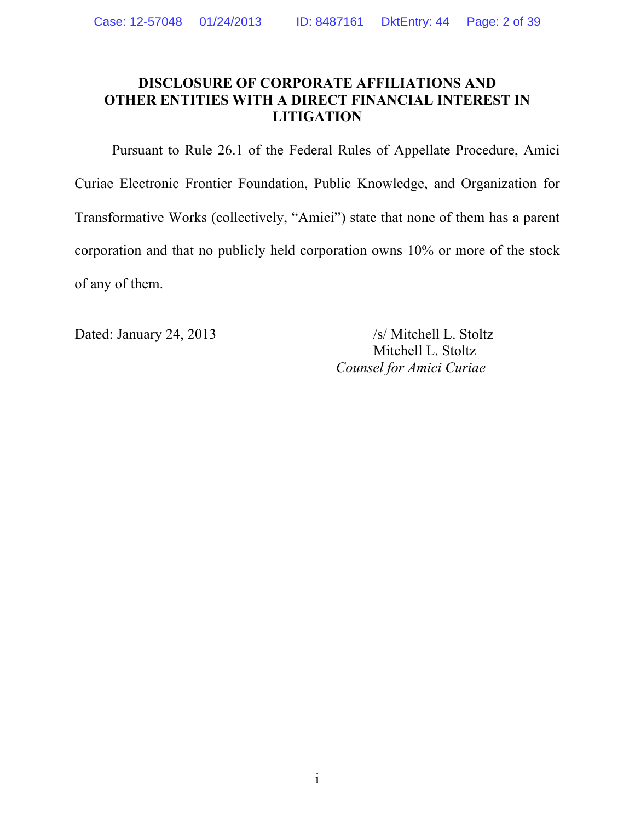### **DISCLOSURE OF CORPORATE AFFILIATIONS AND OTHER ENTITIES WITH A DIRECT FINANCIAL INTEREST IN LITIGATION**

Pursuant to Rule 26.1 of the Federal Rules of Appellate Procedure, Amici Curiae Electronic Frontier Foundation, Public Knowledge, and Organization for Transformative Works (collectively, "Amici") state that none of them has a parent corporation and that no publicly held corporation owns 10% or more of the stock of any of them.

Dated: January 24, 2013 /s/ Mitchell L. Stoltz Mitchell L. Stoltz *Counsel for Amici Curiae*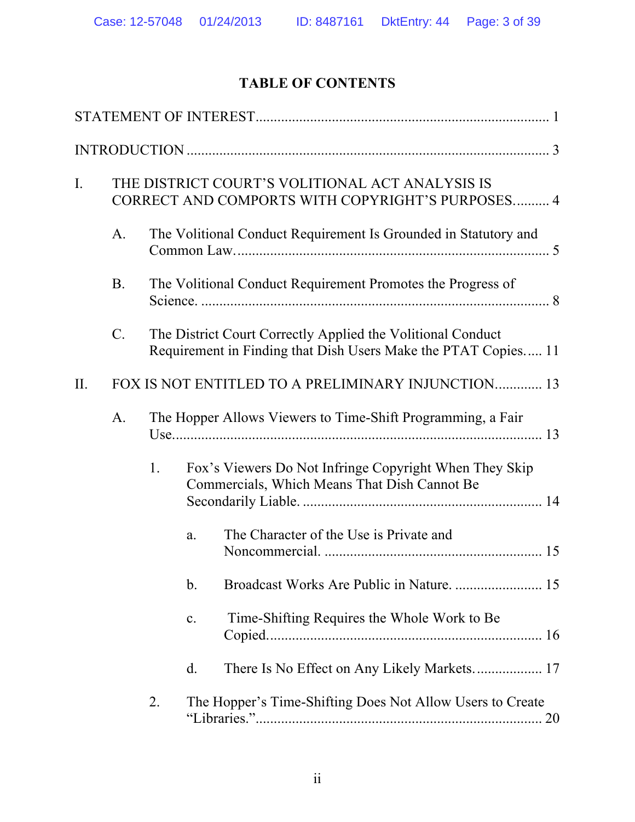# **TABLE OF CONTENTS**

| $I_{\cdot}$ |           |    | THE DISTRICT COURT'S VOLITIONAL ACT ANALYSIS IS<br>CORRECT AND COMPORTS WITH COPYRIGHT'S PURPOSES 4                           |  |
|-------------|-----------|----|-------------------------------------------------------------------------------------------------------------------------------|--|
|             | A.        |    | The Volitional Conduct Requirement Is Grounded in Statutory and                                                               |  |
|             | <b>B.</b> |    | The Volitional Conduct Requirement Promotes the Progress of                                                                   |  |
|             | $C$ .     |    | The District Court Correctly Applied the Volitional Conduct<br>Requirement in Finding that Dish Users Make the PTAT Copies 11 |  |
| II.         |           |    | FOX IS NOT ENTITLED TO A PRELIMINARY INJUNCTION 13                                                                            |  |
|             | A.        |    | The Hopper Allows Viewers to Time-Shift Programming, a Fair                                                                   |  |
|             |           | 1. | Fox's Viewers Do Not Infringe Copyright When They Skip<br>Commercials, Which Means That Dish Cannot Be                        |  |
|             |           |    | The Character of the Use is Private and<br>a.                                                                                 |  |
|             |           |    | $\mathbf b$ .                                                                                                                 |  |
|             |           |    | Time-Shifting Requires the Whole Work to Be.<br>c.                                                                            |  |
|             |           |    | $d_{\cdot}$                                                                                                                   |  |
|             |           | 2. | The Hopper's Time-Shifting Does Not Allow Users to Create                                                                     |  |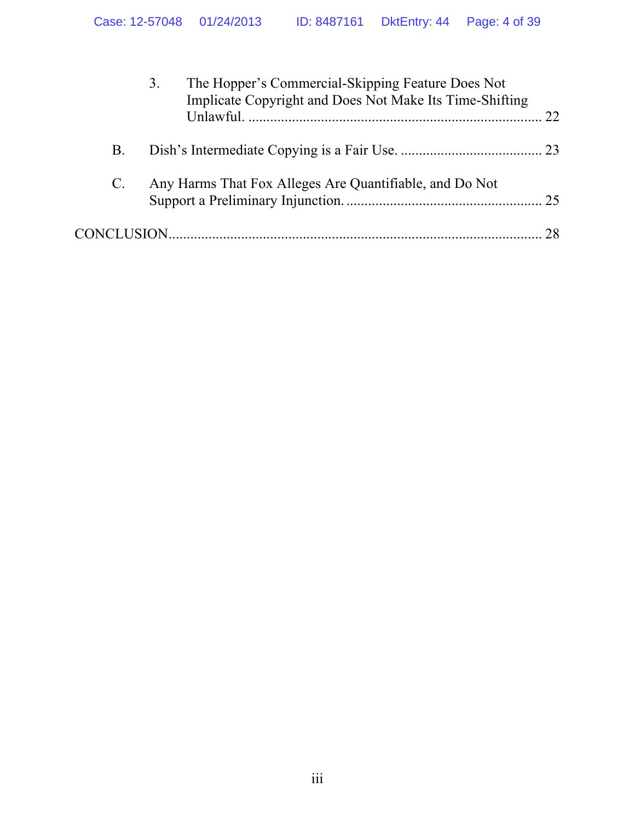|                 |    | The Hopper's Commercial-Skipping Feature Does Not<br>3.<br>Implicate Copyright and Does Not Make Its Time-Shifting | 22. |
|-----------------|----|--------------------------------------------------------------------------------------------------------------------|-----|
|                 | Β. |                                                                                                                    |     |
| $\mathcal{C}$ . |    | Any Harms That Fox Alleges Are Quantifiable, and Do Not                                                            |     |
|                 |    |                                                                                                                    |     |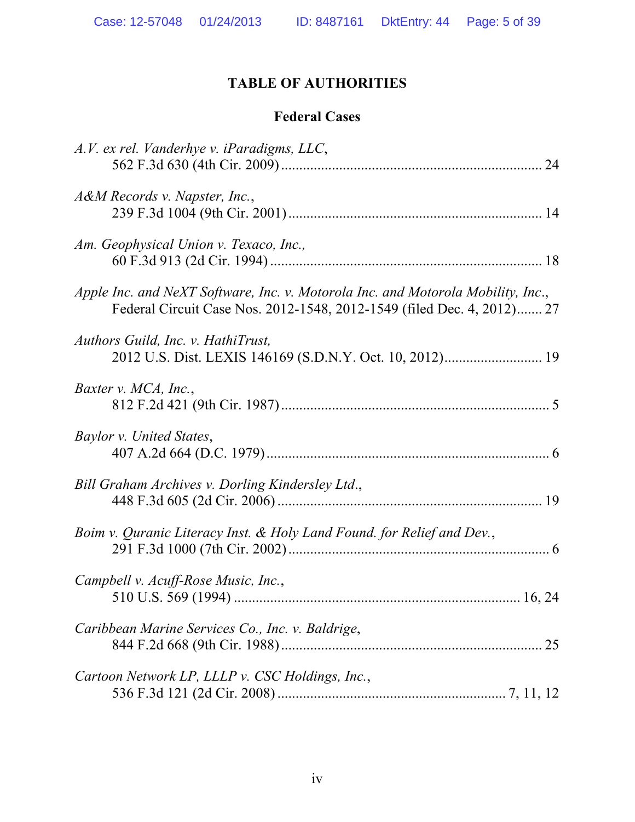# **TABLE OF AUTHORITIES**

# **Federal Cases**

| A.V. ex rel. Vanderhye v. iParadigms, LLC,                                                                                                                 |    |
|------------------------------------------------------------------------------------------------------------------------------------------------------------|----|
| A&M Records v. Napster, Inc.,                                                                                                                              |    |
| Am. Geophysical Union v. Texaco, Inc.,                                                                                                                     |    |
| Apple Inc. and NeXT Software, Inc. v. Motorola Inc. and Motorola Mobility, Inc.,<br>Federal Circuit Case Nos. 2012-1548, 2012-1549 (filed Dec. 4, 2012) 27 |    |
| Authors Guild, Inc. v. HathiTrust,<br>2012 U.S. Dist. LEXIS 146169 (S.D.N.Y. Oct. 10, 2012) 19                                                             |    |
| Baxter v. MCA, Inc.,                                                                                                                                       |    |
| Baylor v. United States,                                                                                                                                   |    |
| Bill Graham Archives v. Dorling Kindersley Ltd.,                                                                                                           |    |
| Boim v. Quranic Literacy Inst. & Holy Land Found. for Relief and Dev.,                                                                                     |    |
| Campbell v. Acuff-Rose Music, Inc.,                                                                                                                        |    |
| Caribbean Marine Services Co., Inc. v. Baldrige,                                                                                                           | 25 |
| Cartoon Network LP, LLLP v. CSC Holdings, Inc.,                                                                                                            |    |
|                                                                                                                                                            |    |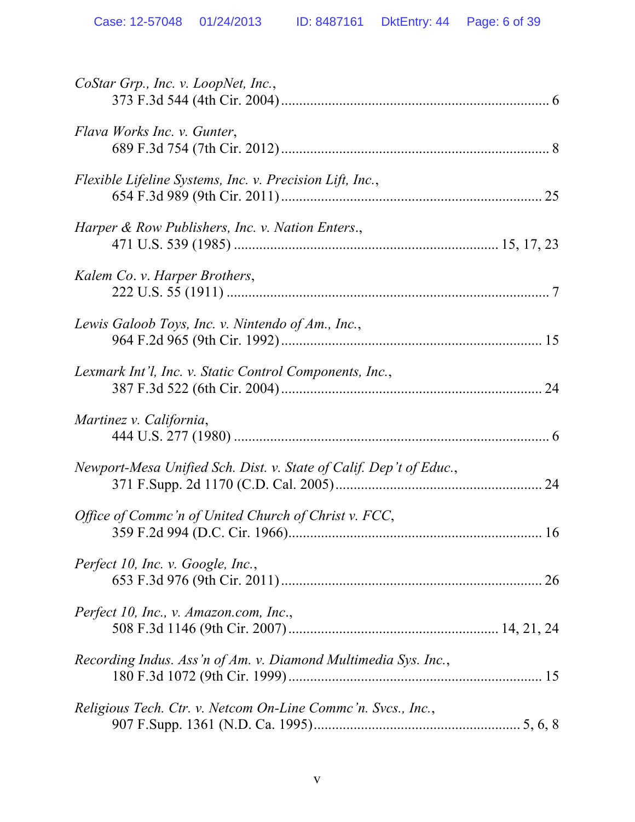| CoStar Grp., Inc. v. LoopNet, Inc.,                                |    |
|--------------------------------------------------------------------|----|
| Flava Works Inc. v. Gunter,                                        |    |
| Flexible Lifeline Systems, Inc. v. Precision Lift, Inc.,           |    |
| Harper & Row Publishers, Inc. v. Nation Enters.,                   |    |
| Kalem Co. v. Harper Brothers,                                      |    |
| Lewis Galoob Toys, Inc. v. Nintendo of Am., Inc.,                  |    |
| Lexmark Int'l, Inc. v. Static Control Components, Inc.,            | 24 |
| Martinez v. California,                                            |    |
| Newport-Mesa Unified Sch. Dist. v. State of Calif. Dep't of Educ., |    |
| Office of Commc'n of United Church of Christ v. FCC,               |    |
| Perfect 10, Inc. v. Google, Inc.,                                  |    |
| Perfect 10, Inc., v. Amazon.com, Inc.,                             |    |
| Recording Indus. Ass'n of Am. v. Diamond Multimedia Sys. Inc.,     |    |
| Religious Tech. Ctr. v. Netcom On-Line Commc'n. Svcs., Inc.,       |    |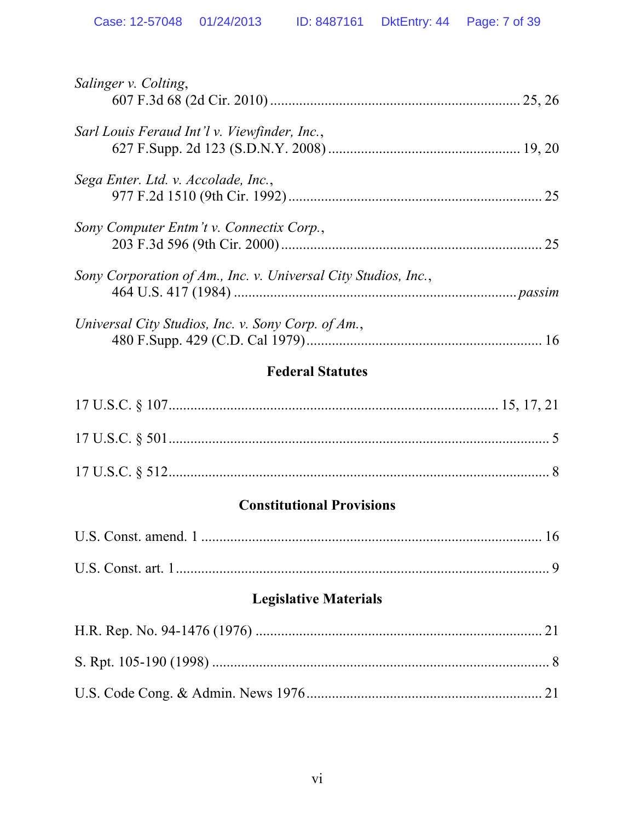| Salinger v. Colting,                                           |    |
|----------------------------------------------------------------|----|
| Sarl Louis Feraud Int'l v. Viewfinder, Inc.,                   |    |
| Sega Enter. Ltd. v. Accolade, Inc.,                            | 25 |
| Sony Computer Entm't v. Connectix Corp.,                       | 25 |
| Sony Corporation of Am., Inc. v. Universal City Studios, Inc., |    |
| Universal City Studios, Inc. v. Sony Corp. of Am.,             |    |

## **Federal Statutes**

| $17 \text{ U.S.C.} \S 501 \dots 5$ |  |
|------------------------------------|--|
|                                    |  |

## **Constitutional Provisions**

# **Legislative Materials**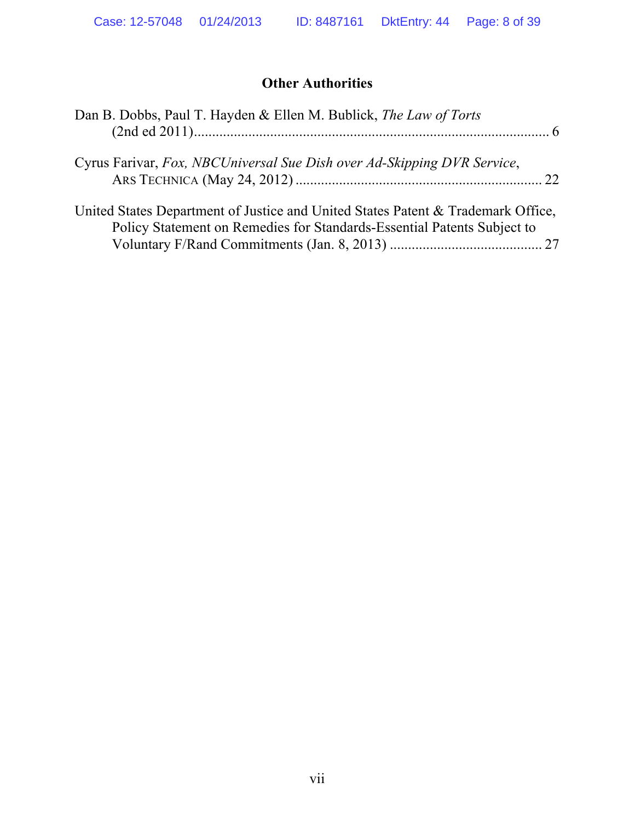## **Other Authorities**

| Dan B. Dobbs, Paul T. Hayden & Ellen M. Bublick, The Law of Torts                                                                                           |  |
|-------------------------------------------------------------------------------------------------------------------------------------------------------------|--|
| Cyrus Farivar, Fox, NBCUniversal Sue Dish over Ad-Skipping DVR Service,                                                                                     |  |
| United States Department of Justice and United States Patent & Trademark Office,<br>Policy Statement on Remedies for Standards-Essential Patents Subject to |  |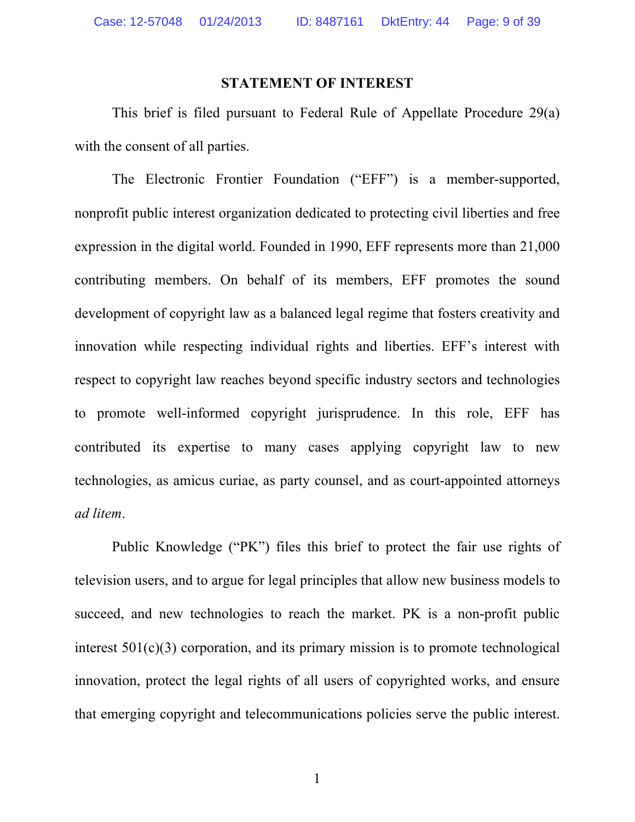#### **STATEMENT OF INTEREST**

This brief is filed pursuant to Federal Rule of Appellate Procedure 29(a) with the consent of all parties.

The Electronic Frontier Foundation ("EFF") is a member-supported, nonprofit public interest organization dedicated to protecting civil liberties and free expression in the digital world. Founded in 1990, EFF represents more than 21,000 contributing members. On behalf of its members, EFF promotes the sound development of copyright law as a balanced legal regime that fosters creativity and innovation while respecting individual rights and liberties. EFF's interest with respect to copyright law reaches beyond specific industry sectors and technologies to promote well-informed copyright jurisprudence. In this role, EFF has contributed its expertise to many cases applying copyright law to new technologies, as amicus curiae, as party counsel, and as court-appointed attorneys *ad litem*.

Public Knowledge ("PK") files this brief to protect the fair use rights of television users, and to argue for legal principles that allow new business models to succeed, and new technologies to reach the market. PK is a non-profit public interest  $501(c)(3)$  corporation, and its primary mission is to promote technological innovation, protect the legal rights of all users of copyrighted works, and ensure that emerging copyright and telecommunications policies serve the public interest.

1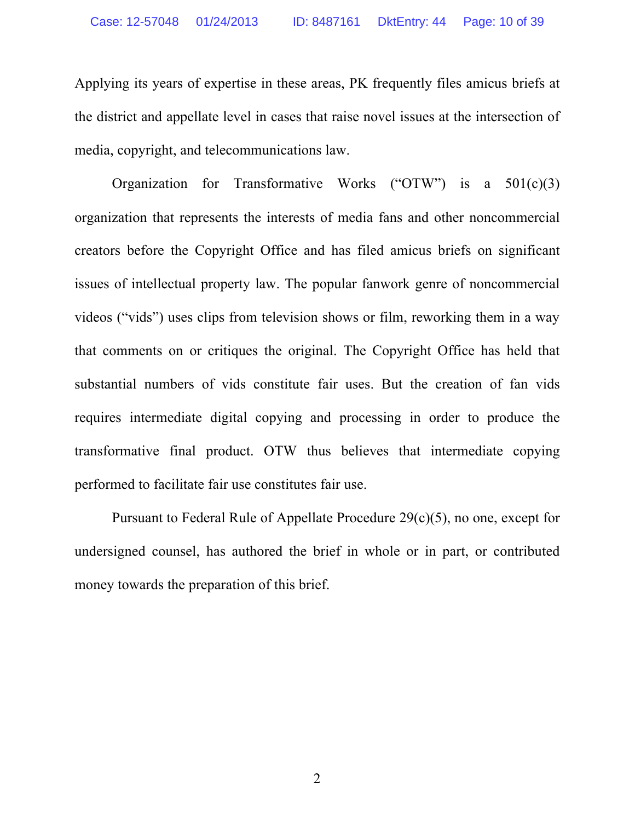Applying its years of expertise in these areas, PK frequently files amicus briefs at the district and appellate level in cases that raise novel issues at the intersection of media, copyright, and telecommunications law.

Organization for Transformative Works ("OTW") is a  $501(c)(3)$ organization that represents the interests of media fans and other noncommercial creators before the Copyright Office and has filed amicus briefs on significant issues of intellectual property law. The popular fanwork genre of noncommercial videos ("vids") uses clips from television shows or film, reworking them in a way that comments on or critiques the original. The Copyright Office has held that substantial numbers of vids constitute fair uses. But the creation of fan vids requires intermediate digital copying and processing in order to produce the transformative final product. OTW thus believes that intermediate copying performed to facilitate fair use constitutes fair use.

Pursuant to Federal Rule of Appellate Procedure 29(c)(5), no one, except for undersigned counsel, has authored the brief in whole or in part, or contributed money towards the preparation of this brief.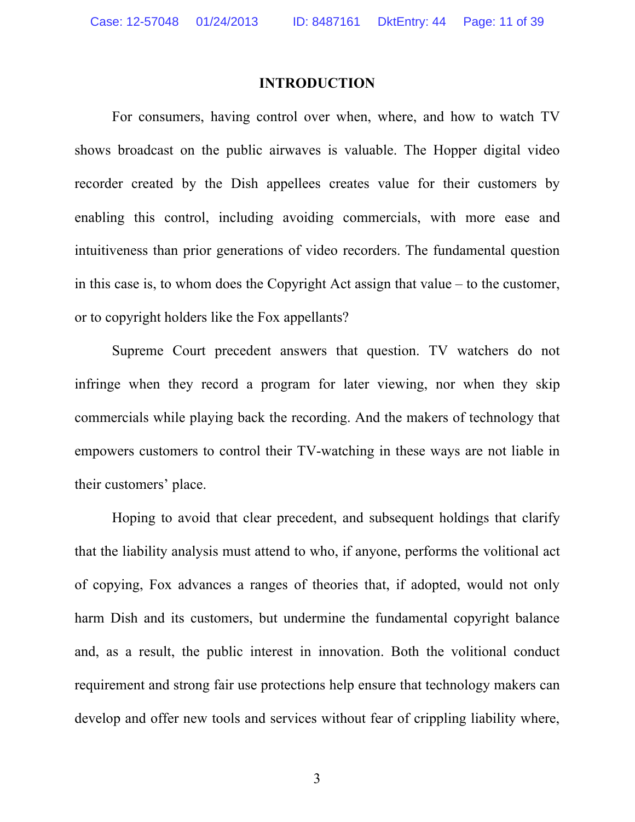#### **INTRODUCTION**

For consumers, having control over when, where, and how to watch TV shows broadcast on the public airwaves is valuable. The Hopper digital video recorder created by the Dish appellees creates value for their customers by enabling this control, including avoiding commercials, with more ease and intuitiveness than prior generations of video recorders. The fundamental question in this case is, to whom does the Copyright Act assign that value – to the customer, or to copyright holders like the Fox appellants?

Supreme Court precedent answers that question. TV watchers do not infringe when they record a program for later viewing, nor when they skip commercials while playing back the recording. And the makers of technology that empowers customers to control their TV-watching in these ways are not liable in their customers' place.

Hoping to avoid that clear precedent, and subsequent holdings that clarify that the liability analysis must attend to who, if anyone, performs the volitional act of copying, Fox advances a ranges of theories that, if adopted, would not only harm Dish and its customers, but undermine the fundamental copyright balance and, as a result, the public interest in innovation. Both the volitional conduct requirement and strong fair use protections help ensure that technology makers can develop and offer new tools and services without fear of crippling liability where,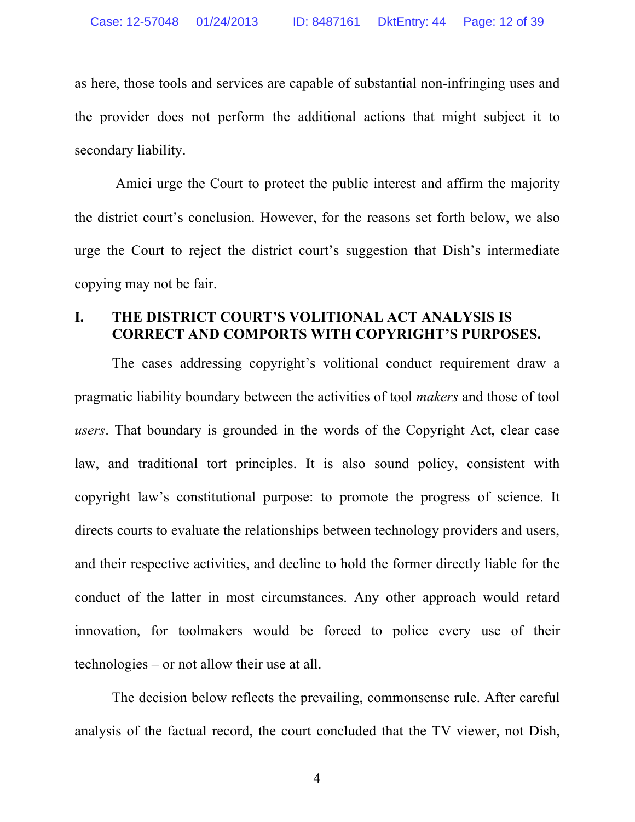as here, those tools and services are capable of substantial non-infringing uses and the provider does not perform the additional actions that might subject it to secondary liability.

Amici urge the Court to protect the public interest and affirm the majority the district court's conclusion. However, for the reasons set forth below, we also urge the Court to reject the district court's suggestion that Dish's intermediate copying may not be fair.

#### **I. THE DISTRICT COURT'S VOLITIONAL ACT ANALYSIS IS CORRECT AND COMPORTS WITH COPYRIGHT'S PURPOSES.**

The cases addressing copyright's volitional conduct requirement draw a pragmatic liability boundary between the activities of tool *makers* and those of tool *users*. That boundary is grounded in the words of the Copyright Act, clear case law, and traditional tort principles. It is also sound policy, consistent with copyright law's constitutional purpose: to promote the progress of science. It directs courts to evaluate the relationships between technology providers and users, and their respective activities, and decline to hold the former directly liable for the conduct of the latter in most circumstances. Any other approach would retard innovation, for toolmakers would be forced to police every use of their technologies – or not allow their use at all.

The decision below reflects the prevailing, commonsense rule. After careful analysis of the factual record, the court concluded that the TV viewer, not Dish,

4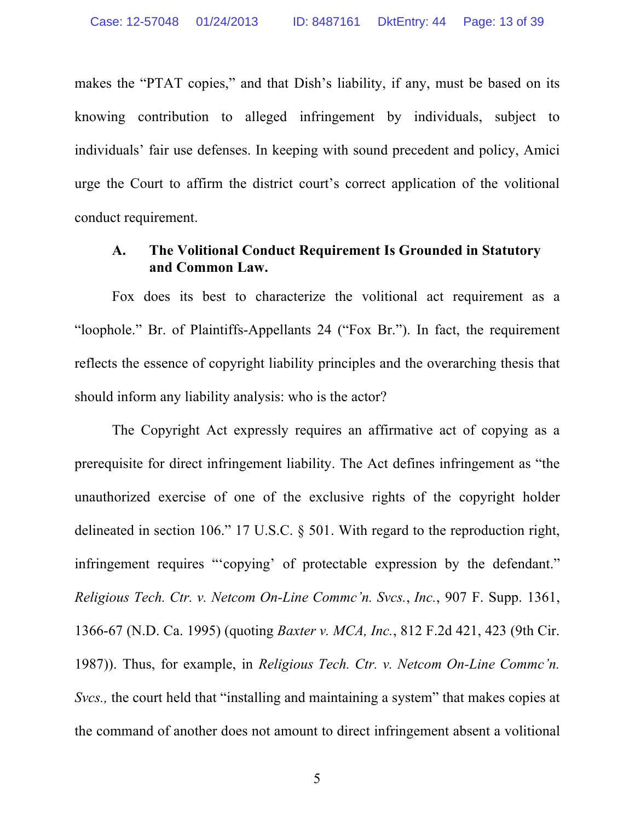makes the "PTAT copies," and that Dish's liability, if any, must be based on its knowing contribution to alleged infringement by individuals, subject to individuals' fair use defenses. In keeping with sound precedent and policy, Amici urge the Court to affirm the district court's correct application of the volitional conduct requirement.

### **A. The Volitional Conduct Requirement Is Grounded in Statutory and Common Law.**

Fox does its best to characterize the volitional act requirement as a "loophole." Br. of Plaintiffs-Appellants 24 ("Fox Br."). In fact, the requirement reflects the essence of copyright liability principles and the overarching thesis that should inform any liability analysis: who is the actor?

The Copyright Act expressly requires an affirmative act of copying as a prerequisite for direct infringement liability. The Act defines infringement as "the unauthorized exercise of one of the exclusive rights of the copyright holder delineated in section 106." 17 U.S.C. § 501. With regard to the reproduction right, infringement requires "'copying' of protectable expression by the defendant." *Religious Tech. Ctr. v. Netcom On-Line Commc'n. Svcs.*, *Inc.*, 907 F. Supp. 1361, 1366-67 (N.D. Ca. 1995) (quoting *Baxter v. MCA, Inc.*, 812 F.2d 421, 423 (9th Cir. 1987)). Thus, for example, in *Religious Tech. Ctr. v. Netcom On-Line Commc'n. Svcs.,* the court held that "installing and maintaining a system" that makes copies at the command of another does not amount to direct infringement absent a volitional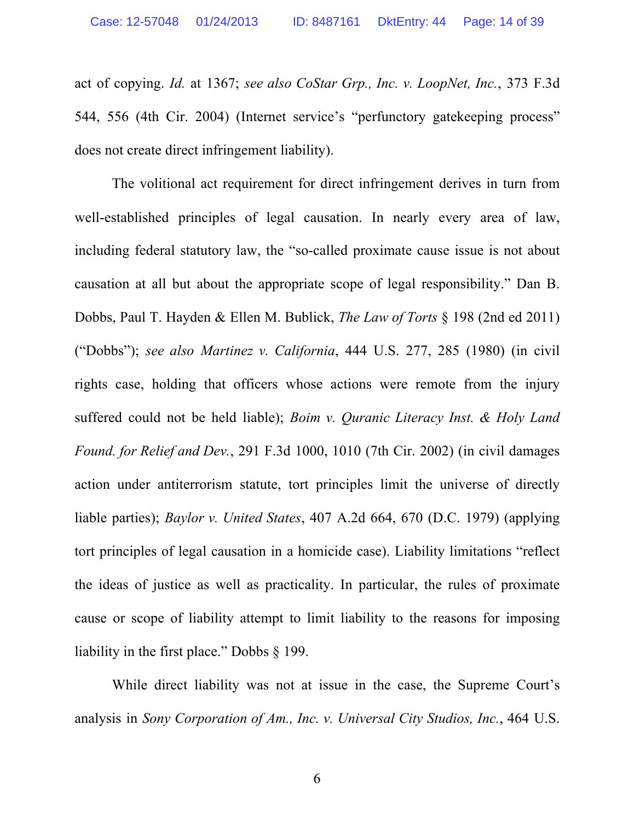act of copying. *Id.* at 1367; *see also CoStar Grp., Inc. v. LoopNet, Inc.*, 373 F.3d 544, 556 (4th Cir. 2004) (Internet service's "perfunctory gatekeeping process" does not create direct infringement liability).

The volitional act requirement for direct infringement derives in turn from well-established principles of legal causation. In nearly every area of law, including federal statutory law, the "so-called proximate cause issue is not about causation at all but about the appropriate scope of legal responsibility." Dan B. Dobbs, Paul T. Hayden & Ellen M. Bublick, *The Law of Torts* § 198 (2nd ed 2011) ("Dobbs"); *see also Martinez v. California*, 444 U.S. 277, 285 (1980) (in civil rights case, holding that officers whose actions were remote from the injury suffered could not be held liable); *Boim v. Quranic Literacy Inst. & Holy Land Found. for Relief and Dev.*, 291 F.3d 1000, 1010 (7th Cir. 2002) (in civil damages action under antiterrorism statute, tort principles limit the universe of directly liable parties); *Baylor v. United States*, 407 A.2d 664, 670 (D.C. 1979) (applying tort principles of legal causation in a homicide case). Liability limitations "reflect the ideas of justice as well as practicality. In particular, the rules of proximate cause or scope of liability attempt to limit liability to the reasons for imposing liability in the first place." Dobbs § 199.

While direct liability was not at issue in the case, the Supreme Court's analysis in *Sony Corporation of Am., Inc. v. Universal City Studios, Inc.*, 464 U.S.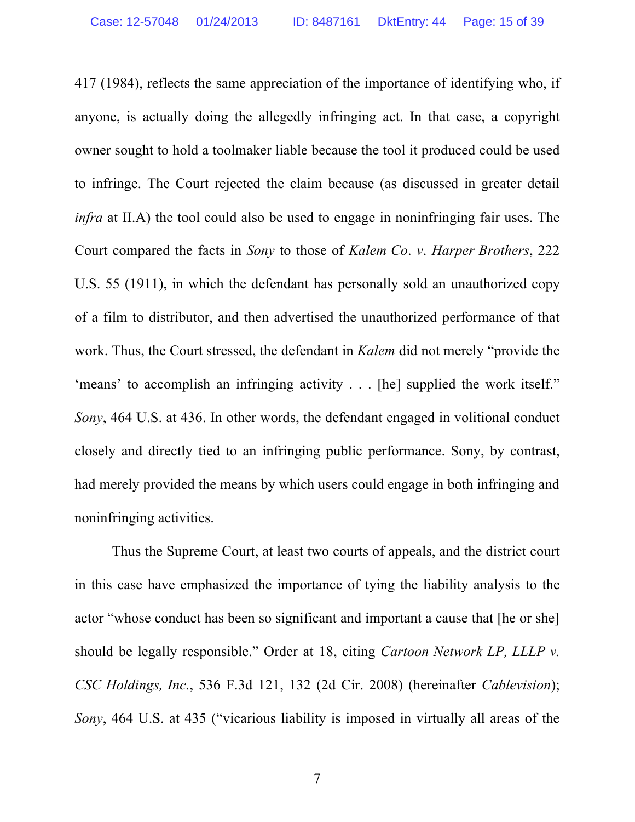417 (1984), reflects the same appreciation of the importance of identifying who, if anyone, is actually doing the allegedly infringing act. In that case, a copyright owner sought to hold a toolmaker liable because the tool it produced could be used to infringe. The Court rejected the claim because (as discussed in greater detail *infra* at II.A) the tool could also be used to engage in noninfringing fair uses. The Court compared the facts in *Sony* to those of *Kalem Co*. *v*. *Harper Brothers*, 222 U.S. 55 (1911), in which the defendant has personally sold an unauthorized copy of a film to distributor, and then advertised the unauthorized performance of that work. Thus, the Court stressed, the defendant in *Kalem* did not merely "provide the 'means' to accomplish an infringing activity . . . [he] supplied the work itself." *Sony*, 464 U.S. at 436. In other words, the defendant engaged in volitional conduct closely and directly tied to an infringing public performance. Sony, by contrast, had merely provided the means by which users could engage in both infringing and noninfringing activities.

Thus the Supreme Court, at least two courts of appeals, and the district court in this case have emphasized the importance of tying the liability analysis to the actor "whose conduct has been so significant and important a cause that [he or she] should be legally responsible." Order at 18, citing *Cartoon Network LP, LLLP v. CSC Holdings, Inc.*, 536 F.3d 121, 132 (2d Cir. 2008) (hereinafter *Cablevision*); *Sony*, 464 U.S. at 435 ("vicarious liability is imposed in virtually all areas of the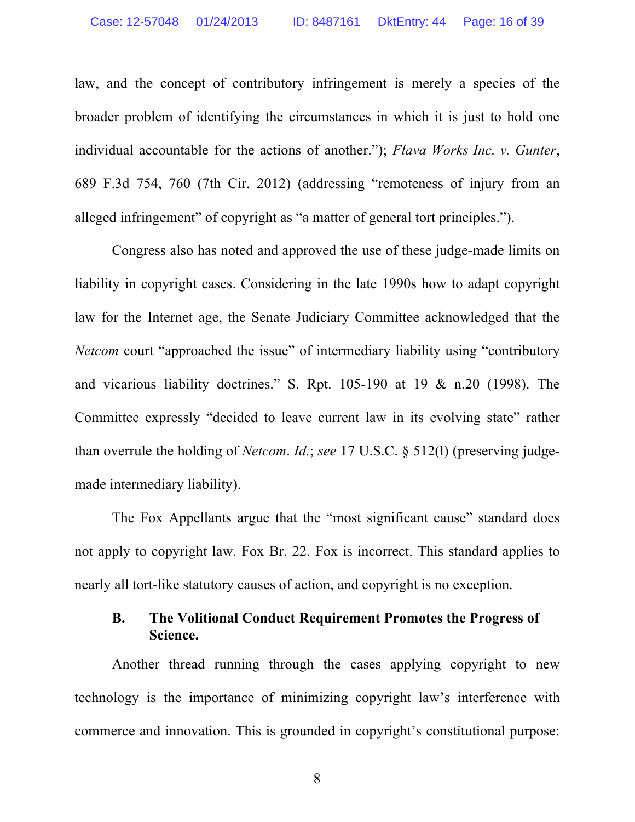law, and the concept of contributory infringement is merely a species of the broader problem of identifying the circumstances in which it is just to hold one individual accountable for the actions of another."); *Flava Works Inc. v. Gunter*, 689 F.3d 754, 760 (7th Cir. 2012) (addressing "remoteness of injury from an alleged infringement" of copyright as "a matter of general tort principles.").

Congress also has noted and approved the use of these judge-made limits on liability in copyright cases. Considering in the late 1990s how to adapt copyright law for the Internet age, the Senate Judiciary Committee acknowledged that the *Netcom* court "approached the issue" of intermediary liability using "contributory and vicarious liability doctrines." S. Rpt. 105-190 at 19 & n.20 (1998). The Committee expressly "decided to leave current law in its evolving state" rather than overrule the holding of *Netcom*. *Id.*; *see* 17 U.S.C. § 512(l) (preserving judgemade intermediary liability).

The Fox Appellants argue that the "most significant cause" standard does not apply to copyright law. Fox Br. 22. Fox is incorrect. This standard applies to nearly all tort-like statutory causes of action, and copyright is no exception.

## **B. The Volitional Conduct Requirement Promotes the Progress of Science.**

Another thread running through the cases applying copyright to new technology is the importance of minimizing copyright law's interference with commerce and innovation. This is grounded in copyright's constitutional purpose:

8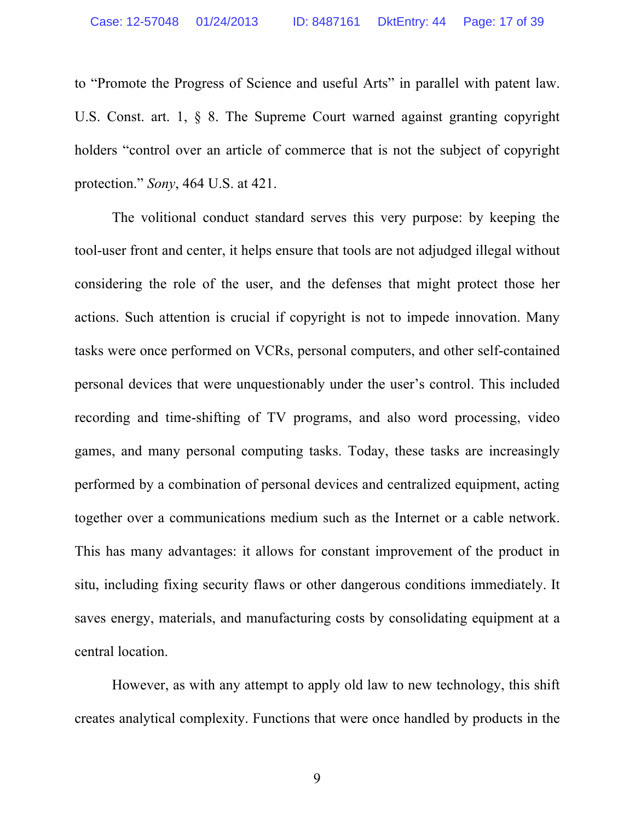to "Promote the Progress of Science and useful Arts" in parallel with patent law. U.S. Const. art. 1, § 8. The Supreme Court warned against granting copyright holders "control over an article of commerce that is not the subject of copyright protection." *Sony*, 464 U.S. at 421.

The volitional conduct standard serves this very purpose: by keeping the tool-user front and center, it helps ensure that tools are not adjudged illegal without considering the role of the user, and the defenses that might protect those her actions. Such attention is crucial if copyright is not to impede innovation. Many tasks were once performed on VCRs, personal computers, and other self-contained personal devices that were unquestionably under the user's control. This included recording and time-shifting of TV programs, and also word processing, video games, and many personal computing tasks. Today, these tasks are increasingly performed by a combination of personal devices and centralized equipment, acting together over a communications medium such as the Internet or a cable network. This has many advantages: it allows for constant improvement of the product in situ, including fixing security flaws or other dangerous conditions immediately. It saves energy, materials, and manufacturing costs by consolidating equipment at a central location.

However, as with any attempt to apply old law to new technology, this shift creates analytical complexity. Functions that were once handled by products in the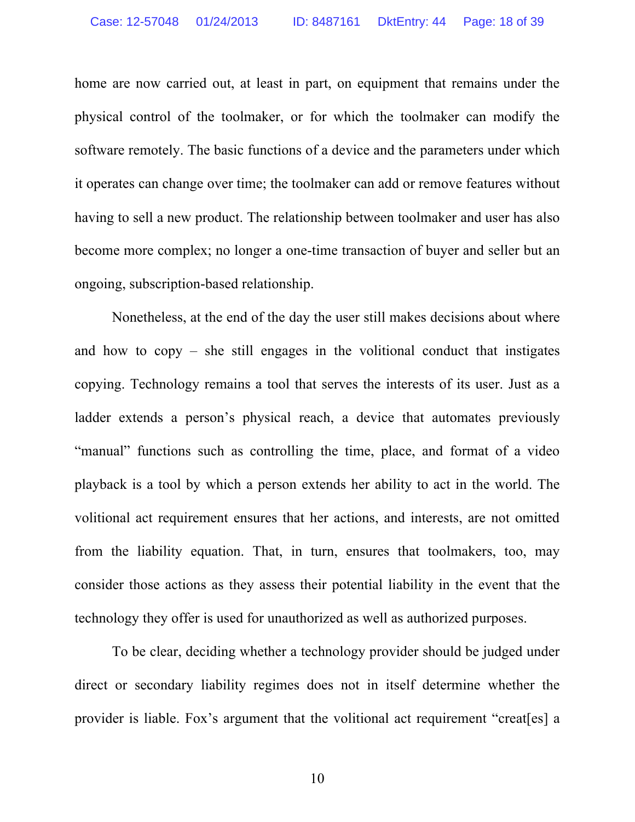home are now carried out, at least in part, on equipment that remains under the physical control of the toolmaker, or for which the toolmaker can modify the software remotely. The basic functions of a device and the parameters under which it operates can change over time; the toolmaker can add or remove features without having to sell a new product. The relationship between toolmaker and user has also become more complex; no longer a one-time transaction of buyer and seller but an ongoing, subscription-based relationship.

Nonetheless, at the end of the day the user still makes decisions about where and how to copy – she still engages in the volitional conduct that instigates copying. Technology remains a tool that serves the interests of its user. Just as a ladder extends a person's physical reach, a device that automates previously "manual" functions such as controlling the time, place, and format of a video playback is a tool by which a person extends her ability to act in the world. The volitional act requirement ensures that her actions, and interests, are not omitted from the liability equation. That, in turn, ensures that toolmakers, too, may consider those actions as they assess their potential liability in the event that the technology they offer is used for unauthorized as well as authorized purposes.

To be clear, deciding whether a technology provider should be judged under direct or secondary liability regimes does not in itself determine whether the provider is liable. Fox's argument that the volitional act requirement "creat[es] a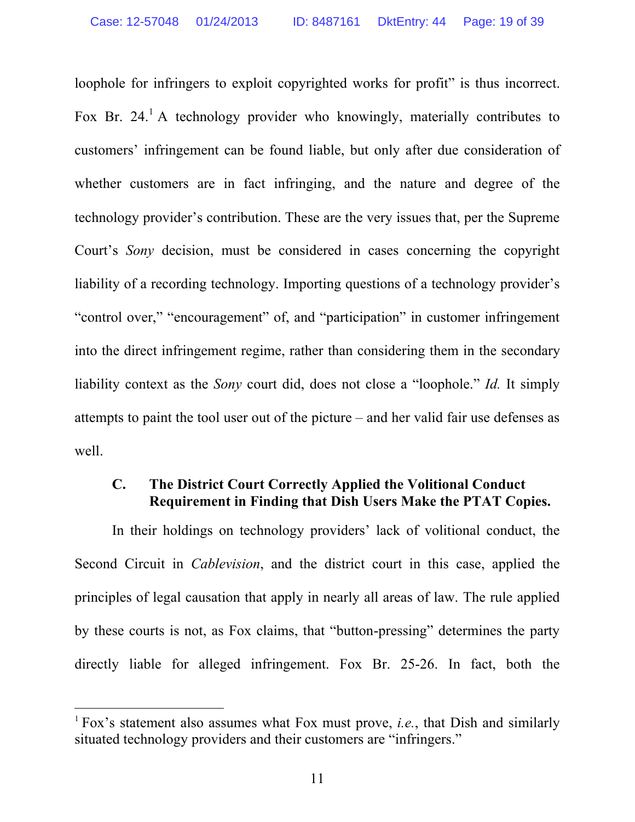loophole for infringers to exploit copyrighted works for profit" is thus incorrect. Fox Br. 24.<sup>1</sup> A technology provider who knowingly, materially contributes to customers' infringement can be found liable, but only after due consideration of whether customers are in fact infringing, and the nature and degree of the technology provider's contribution. These are the very issues that, per the Supreme Court's *Sony* decision, must be considered in cases concerning the copyright liability of a recording technology. Importing questions of a technology provider's "control over," "encouragement" of, and "participation" in customer infringement into the direct infringement regime, rather than considering them in the secondary liability context as the *Sony* court did, does not close a "loophole." *Id.* It simply attempts to paint the tool user out of the picture – and her valid fair use defenses as well.

## **C. The District Court Correctly Applied the Volitional Conduct Requirement in Finding that Dish Users Make the PTAT Copies.**

In their holdings on technology providers' lack of volitional conduct, the Second Circuit in *Cablevision*, and the district court in this case, applied the principles of legal causation that apply in nearly all areas of law. The rule applied by these courts is not, as Fox claims, that "button-pressing" determines the party directly liable for alleged infringement. Fox Br. 25-26. In fact, both the

 

<sup>1</sup> Fox's statement also assumes what Fox must prove, *i.e.*, that Dish and similarly situated technology providers and their customers are "infringers."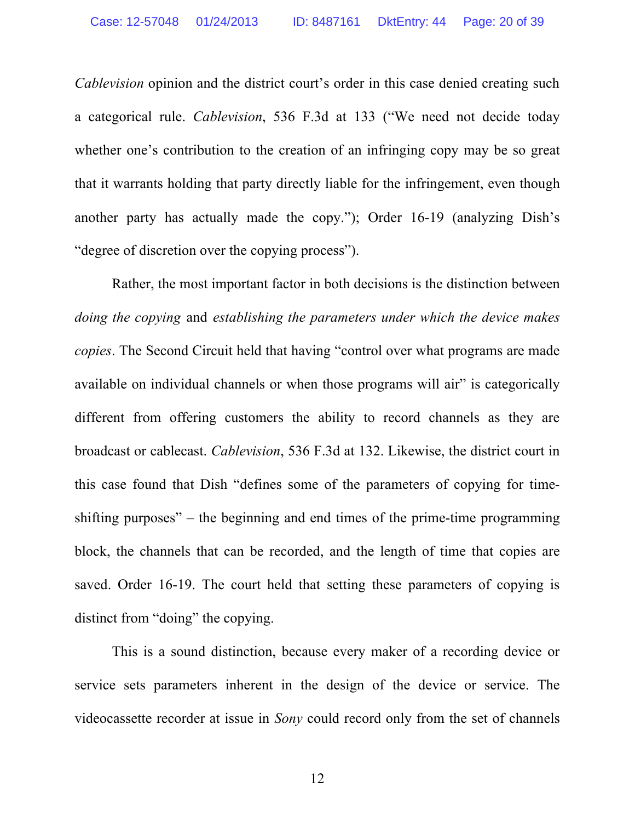*Cablevision* opinion and the district court's order in this case denied creating such a categorical rule. *Cablevision*, 536 F.3d at 133 ("We need not decide today whether one's contribution to the creation of an infringing copy may be so great that it warrants holding that party directly liable for the infringement, even though another party has actually made the copy."); Order 16-19 (analyzing Dish's "degree of discretion over the copying process").

Rather, the most important factor in both decisions is the distinction between *doing the copying* and *establishing the parameters under which the device makes copies*. The Second Circuit held that having "control over what programs are made available on individual channels or when those programs will air" is categorically different from offering customers the ability to record channels as they are broadcast or cablecast. *Cablevision*, 536 F.3d at 132. Likewise, the district court in this case found that Dish "defines some of the parameters of copying for timeshifting purposes" – the beginning and end times of the prime-time programming block, the channels that can be recorded, and the length of time that copies are saved. Order 16-19. The court held that setting these parameters of copying is distinct from "doing" the copying.

This is a sound distinction, because every maker of a recording device or service sets parameters inherent in the design of the device or service. The videocassette recorder at issue in *Sony* could record only from the set of channels

12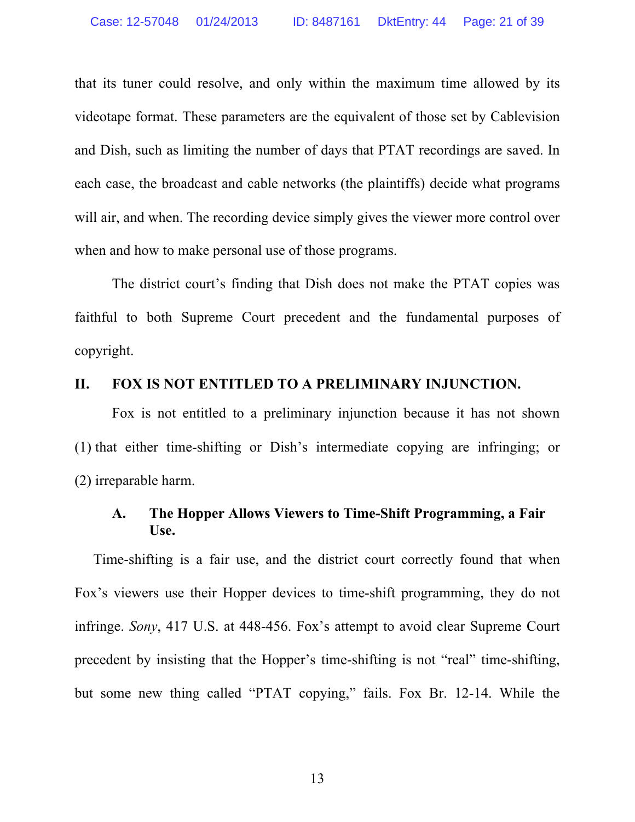that its tuner could resolve, and only within the maximum time allowed by its videotape format. These parameters are the equivalent of those set by Cablevision and Dish, such as limiting the number of days that PTAT recordings are saved. In each case, the broadcast and cable networks (the plaintiffs) decide what programs will air, and when. The recording device simply gives the viewer more control over when and how to make personal use of those programs.

The district court's finding that Dish does not make the PTAT copies was faithful to both Supreme Court precedent and the fundamental purposes of copyright.

#### **II. FOX IS NOT ENTITLED TO A PRELIMINARY INJUNCTION.**

Fox is not entitled to a preliminary injunction because it has not shown (1) that either time-shifting or Dish's intermediate copying are infringing; or (2) irreparable harm.

### **A. The Hopper Allows Viewers to Time-Shift Programming, a Fair Use.**

Time-shifting is a fair use, and the district court correctly found that when Fox's viewers use their Hopper devices to time-shift programming, they do not infringe. *Sony*, 417 U.S. at 448-456. Fox's attempt to avoid clear Supreme Court precedent by insisting that the Hopper's time-shifting is not "real" time-shifting, but some new thing called "PTAT copying," fails. Fox Br. 12-14. While the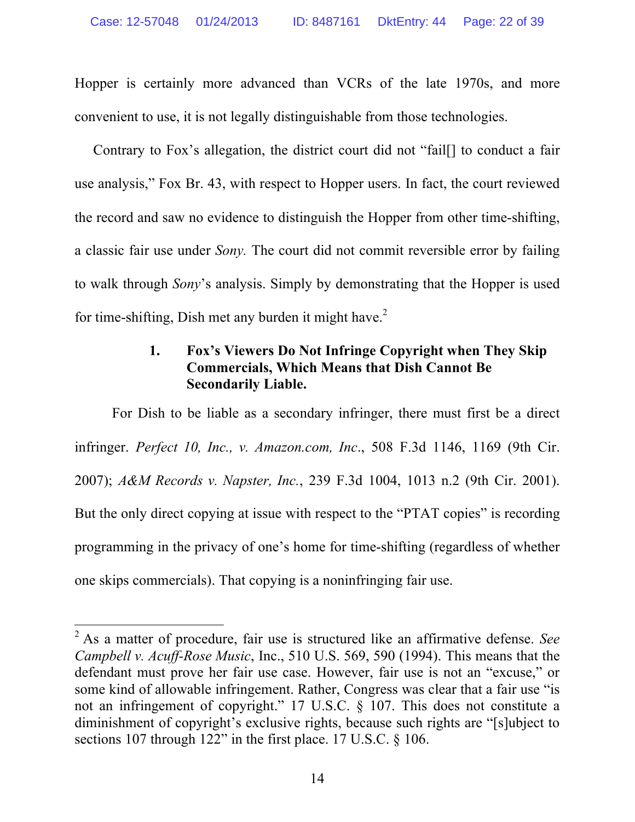Hopper is certainly more advanced than VCRs of the late 1970s, and more convenient to use, it is not legally distinguishable from those technologies.

Contrary to Fox's allegation, the district court did not "fail[] to conduct a fair use analysis," Fox Br. 43, with respect to Hopper users. In fact, the court reviewed the record and saw no evidence to distinguish the Hopper from other time-shifting, a classic fair use under *Sony.* The court did not commit reversible error by failing to walk through *Sony*'s analysis. Simply by demonstrating that the Hopper is used for time-shifting, Dish met any burden it might have.<sup>2</sup>

## **1. Fox's Viewers Do Not Infringe Copyright when They Skip Commercials, Which Means that Dish Cannot Be Secondarily Liable.**

For Dish to be liable as a secondary infringer, there must first be a direct infringer. *Perfect 10, Inc., v. Amazon.com, Inc*., 508 F.3d 1146, 1169 (9th Cir. 2007); *A&M Records v. Napster, Inc.*, 239 F.3d 1004, 1013 n.2 (9th Cir. 2001). But the only direct copying at issue with respect to the "PTAT copies" is recording programming in the privacy of one's home for time-shifting (regardless of whether one skips commercials). That copying is a noninfringing fair use.

 <sup>2</sup> As a matter of procedure, fair use is structured like an affirmative defense. *See Campbell v. Acuff-Rose Music*, Inc., 510 U.S. 569, 590 (1994). This means that the defendant must prove her fair use case. However, fair use is not an "excuse," or some kind of allowable infringement. Rather, Congress was clear that a fair use "is not an infringement of copyright." 17 U.S.C. § 107. This does not constitute a diminishment of copyright's exclusive rights, because such rights are "[s]ubject to sections 107 through 122" in the first place. 17 U.S.C. § 106.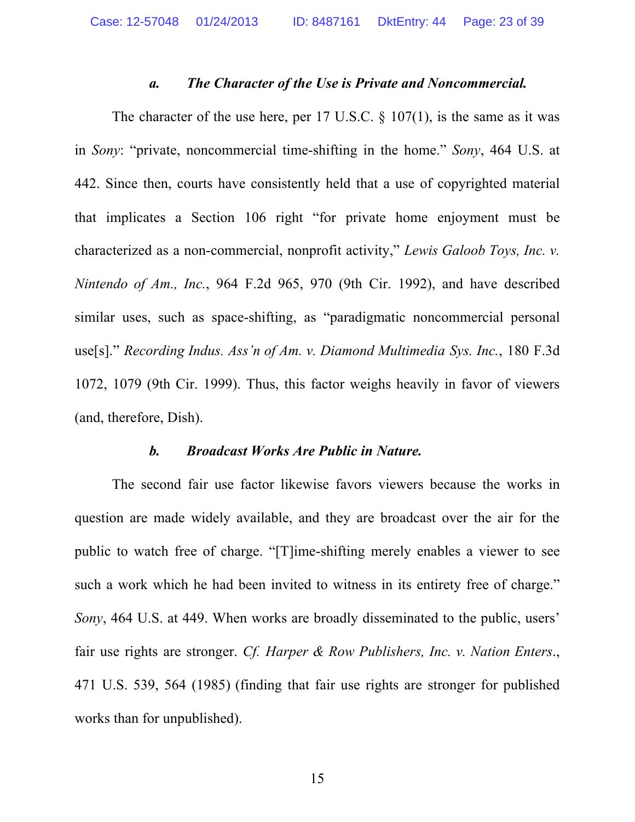#### *a. The Character of the Use is Private and Noncommercial.*

The character of the use here, per 17 U.S.C.  $\S$  107(1), is the same as it was in *Sony*: "private, noncommercial time-shifting in the home." *Sony*, 464 U.S. at 442. Since then, courts have consistently held that a use of copyrighted material that implicates a Section 106 right "for private home enjoyment must be characterized as a non-commercial, nonprofit activity," *Lewis Galoob Toys, Inc. v. Nintendo of Am., Inc.*, 964 F.2d 965, 970 (9th Cir. 1992), and have described similar uses, such as space-shifting, as "paradigmatic noncommercial personal use[s]." *Recording Indus. Ass'n of Am. v. Diamond Multimedia Sys. Inc.*, 180 F.3d 1072, 1079 (9th Cir. 1999). Thus, this factor weighs heavily in favor of viewers (and, therefore, Dish).

#### *b. Broadcast Works Are Public in Nature.*

The second fair use factor likewise favors viewers because the works in question are made widely available, and they are broadcast over the air for the public to watch free of charge. "[T]ime-shifting merely enables a viewer to see such a work which he had been invited to witness in its entirety free of charge." *Sony*, 464 U.S. at 449. When works are broadly disseminated to the public, users' fair use rights are stronger. *Cf. Harper & Row Publishers, Inc. v. Nation Enters*., 471 U.S. 539, 564 (1985) (finding that fair use rights are stronger for published works than for unpublished).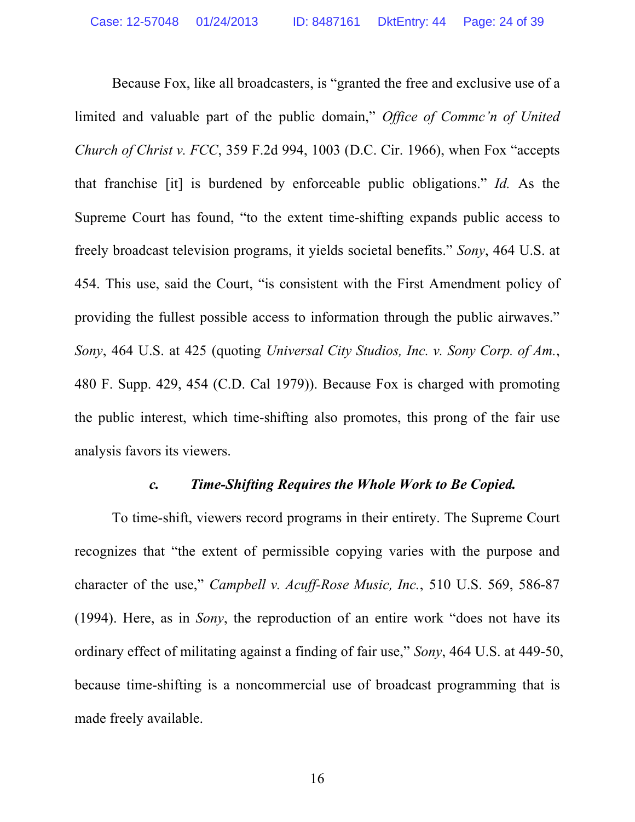Because Fox, like all broadcasters, is "granted the free and exclusive use of a limited and valuable part of the public domain," *Office of Commc'n of United Church of Christ v. FCC*, 359 F.2d 994, 1003 (D.C. Cir. 1966), when Fox "accepts that franchise [it] is burdened by enforceable public obligations." *Id.* As the Supreme Court has found, "to the extent time-shifting expands public access to freely broadcast television programs, it yields societal benefits." *Sony*, 464 U.S. at 454. This use, said the Court, "is consistent with the First Amendment policy of providing the fullest possible access to information through the public airwaves." *Sony*, 464 U.S. at 425 (quoting *Universal City Studios, Inc. v. Sony Corp. of Am.*, 480 F. Supp. 429, 454 (C.D. Cal 1979)). Because Fox is charged with promoting the public interest, which time-shifting also promotes, this prong of the fair use analysis favors its viewers.

#### *c. Time-Shifting Requires the Whole Work to Be Copied.*

To time-shift, viewers record programs in their entirety. The Supreme Court recognizes that "the extent of permissible copying varies with the purpose and character of the use," *Campbell v. Acuff-Rose Music, Inc.*, 510 U.S. 569, 586-87 (1994). Here, as in *Sony*, the reproduction of an entire work "does not have its ordinary effect of militating against a finding of fair use," *Sony*, 464 U.S. at 449-50, because time-shifting is a noncommercial use of broadcast programming that is made freely available.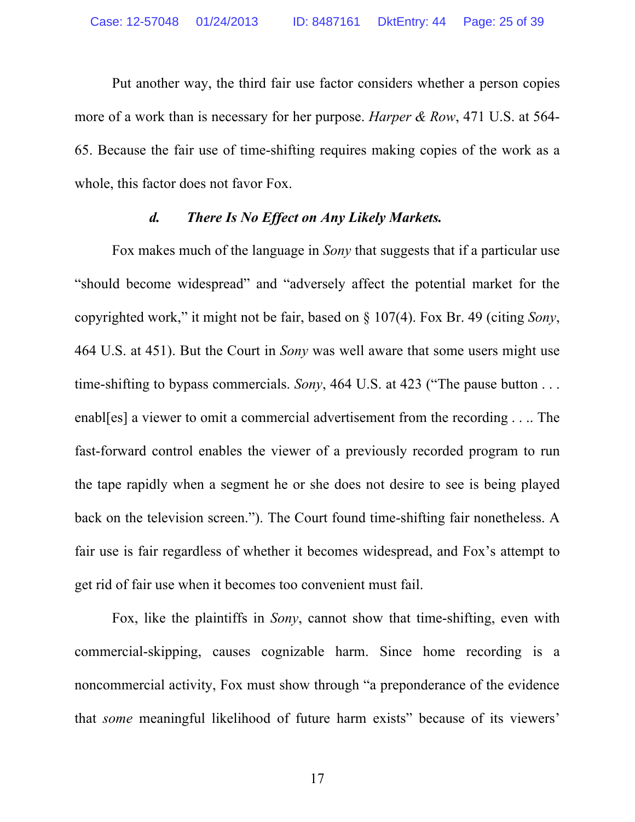Put another way, the third fair use factor considers whether a person copies more of a work than is necessary for her purpose. *Harper & Row*, 471 U.S. at 564- 65. Because the fair use of time-shifting requires making copies of the work as a whole, this factor does not favor Fox.

#### *d. There Is No Effect on Any Likely Markets.*

Fox makes much of the language in *Sony* that suggests that if a particular use "should become widespread" and "adversely affect the potential market for the copyrighted work," it might not be fair, based on § 107(4). Fox Br. 49 (citing *Sony*, 464 U.S. at 451). But the Court in *Sony* was well aware that some users might use time-shifting to bypass commercials. *Sony*, 464 U.S. at 423 ("The pause button . . . enabl[es] a viewer to omit a commercial advertisement from the recording . . .. The fast-forward control enables the viewer of a previously recorded program to run the tape rapidly when a segment he or she does not desire to see is being played back on the television screen."). The Court found time-shifting fair nonetheless. A fair use is fair regardless of whether it becomes widespread, and Fox's attempt to get rid of fair use when it becomes too convenient must fail.

Fox, like the plaintiffs in *Sony*, cannot show that time-shifting, even with commercial-skipping, causes cognizable harm. Since home recording is a noncommercial activity, Fox must show through "a preponderance of the evidence that *some* meaningful likelihood of future harm exists" because of its viewers'

17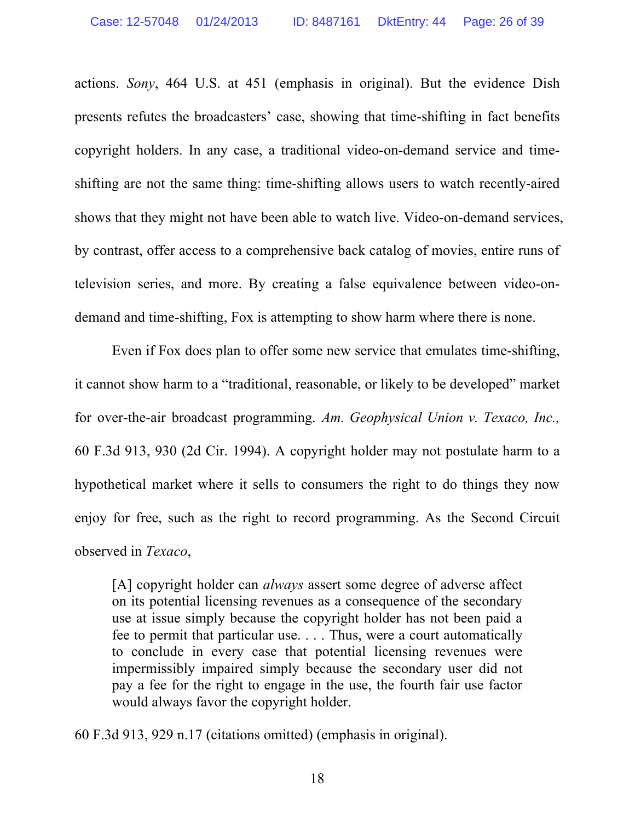actions. *Sony*, 464 U.S. at 451 (emphasis in original). But the evidence Dish presents refutes the broadcasters' case, showing that time-shifting in fact benefits copyright holders. In any case, a traditional video-on-demand service and timeshifting are not the same thing: time-shifting allows users to watch recently-aired shows that they might not have been able to watch live. Video-on-demand services, by contrast, offer access to a comprehensive back catalog of movies, entire runs of television series, and more. By creating a false equivalence between video-ondemand and time-shifting, Fox is attempting to show harm where there is none.

Even if Fox does plan to offer some new service that emulates time-shifting, it cannot show harm to a "traditional, reasonable, or likely to be developed" market for over-the-air broadcast programming. *Am. Geophysical Union v. Texaco, Inc.,*  60 F.3d 913, 930 (2d Cir. 1994). A copyright holder may not postulate harm to a hypothetical market where it sells to consumers the right to do things they now enjoy for free, such as the right to record programming. As the Second Circuit observed in *Texaco*,

[A] copyright holder can *always* assert some degree of adverse affect on its potential licensing revenues as a consequence of the secondary use at issue simply because the copyright holder has not been paid a fee to permit that particular use. . . . Thus, were a court automatically to conclude in every case that potential licensing revenues were impermissibly impaired simply because the secondary user did not pay a fee for the right to engage in the use, the fourth fair use factor would always favor the copyright holder.

60 F.3d 913, 929 n.17 (citations omitted) (emphasis in original).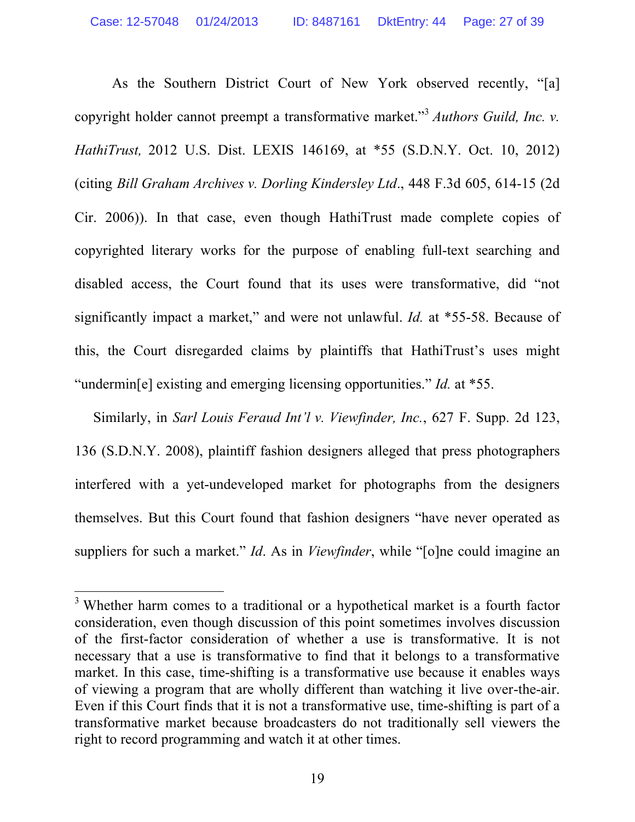As the Southern District Court of New York observed recently, "[a] copyright holder cannot preempt a transformative market."3 *Authors Guild, Inc. v. HathiTrust,* 2012 U.S. Dist. LEXIS 146169, at \*55 (S.D.N.Y. Oct. 10, 2012) (citing *Bill Graham Archives v. Dorling Kindersley Ltd*., 448 F.3d 605, 614-15 (2d Cir. 2006)). In that case, even though HathiTrust made complete copies of copyrighted literary works for the purpose of enabling full-text searching and disabled access, the Court found that its uses were transformative, did "not significantly impact a market," and were not unlawful. *Id.* at \*55-58. Because of this, the Court disregarded claims by plaintiffs that HathiTrust's uses might "undermin[e] existing and emerging licensing opportunities." *Id.* at \*55.

Similarly, in *Sarl Louis Feraud Int'l v. Viewfinder, Inc.*, 627 F. Supp. 2d 123, 136 (S.D.N.Y. 2008), plaintiff fashion designers alleged that press photographers interfered with a yet-undeveloped market for photographs from the designers themselves. But this Court found that fashion designers "have never operated as suppliers for such a market." *Id*. As in *Viewfinder*, while "[o]ne could imagine an

<sup>&</sup>lt;sup>3</sup> Whether harm comes to a traditional or a hypothetical market is a fourth factor consideration, even though discussion of this point sometimes involves discussion of the first-factor consideration of whether a use is transformative. It is not necessary that a use is transformative to find that it belongs to a transformative market. In this case, time-shifting is a transformative use because it enables ways of viewing a program that are wholly different than watching it live over-the-air. Even if this Court finds that it is not a transformative use, time-shifting is part of a transformative market because broadcasters do not traditionally sell viewers the right to record programming and watch it at other times.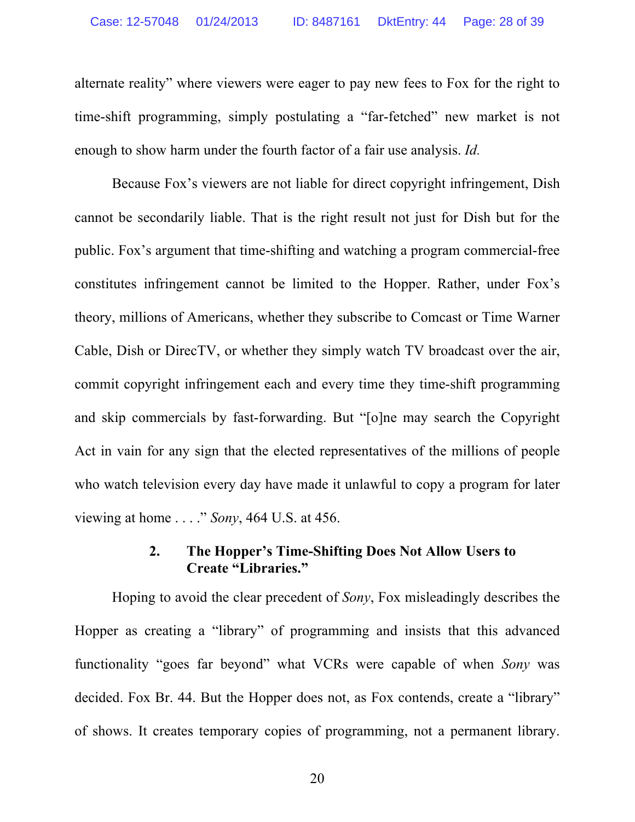alternate reality" where viewers were eager to pay new fees to Fox for the right to time-shift programming, simply postulating a "far-fetched" new market is not enough to show harm under the fourth factor of a fair use analysis. *Id.*

Because Fox's viewers are not liable for direct copyright infringement, Dish cannot be secondarily liable. That is the right result not just for Dish but for the public. Fox's argument that time-shifting and watching a program commercial-free constitutes infringement cannot be limited to the Hopper. Rather, under Fox's theory, millions of Americans, whether they subscribe to Comcast or Time Warner Cable, Dish or DirecTV, or whether they simply watch TV broadcast over the air, commit copyright infringement each and every time they time-shift programming and skip commercials by fast-forwarding. But "[o]ne may search the Copyright Act in vain for any sign that the elected representatives of the millions of people who watch television every day have made it unlawful to copy a program for later viewing at home . . . ." *Sony*, 464 U.S. at 456.

## **2. The Hopper's Time-Shifting Does Not Allow Users to Create "Libraries."**

Hoping to avoid the clear precedent of *Sony*, Fox misleadingly describes the Hopper as creating a "library" of programming and insists that this advanced functionality "goes far beyond" what VCRs were capable of when *Sony* was decided. Fox Br. 44. But the Hopper does not, as Fox contends, create a "library" of shows. It creates temporary copies of programming, not a permanent library.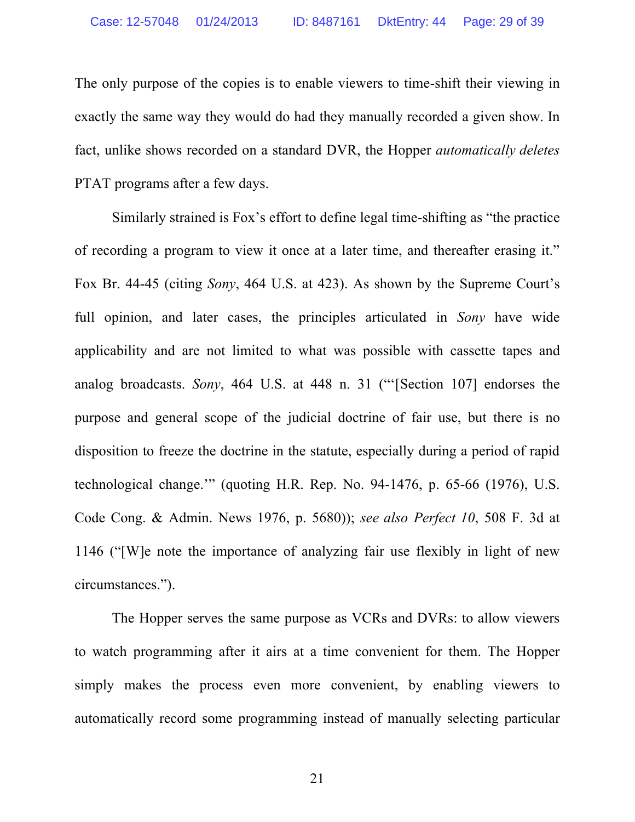The only purpose of the copies is to enable viewers to time-shift their viewing in exactly the same way they would do had they manually recorded a given show. In fact, unlike shows recorded on a standard DVR, the Hopper *automatically deletes*  PTAT programs after a few days.

Similarly strained is Fox's effort to define legal time-shifting as "the practice of recording a program to view it once at a later time, and thereafter erasing it." Fox Br. 44-45 (citing *Sony*, 464 U.S. at 423). As shown by the Supreme Court's full opinion, and later cases, the principles articulated in *Sony* have wide applicability and are not limited to what was possible with cassette tapes and analog broadcasts. *Sony*, 464 U.S. at 448 n. 31 ("'[Section 107] endorses the purpose and general scope of the judicial doctrine of fair use, but there is no disposition to freeze the doctrine in the statute, especially during a period of rapid technological change.'" (quoting H.R. Rep. No. 94-1476, p. 65-66 (1976), U.S. Code Cong. & Admin. News 1976, p. 5680)); *see also Perfect 10*, 508 F. 3d at 1146 ("[W]e note the importance of analyzing fair use flexibly in light of new circumstances.").

The Hopper serves the same purpose as VCRs and DVRs: to allow viewers to watch programming after it airs at a time convenient for them. The Hopper simply makes the process even more convenient, by enabling viewers to automatically record some programming instead of manually selecting particular

21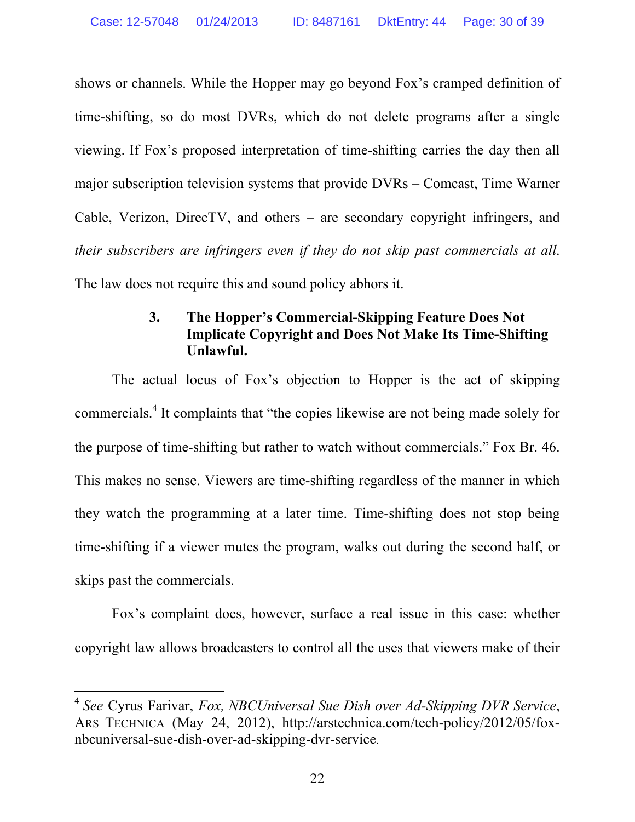shows or channels. While the Hopper may go beyond Fox's cramped definition of time-shifting, so do most DVRs, which do not delete programs after a single viewing. If Fox's proposed interpretation of time-shifting carries the day then all major subscription television systems that provide DVRs – Comcast, Time Warner Cable, Verizon, DirecTV, and others – are secondary copyright infringers, and *their subscribers are infringers even if they do not skip past commercials at all*. The law does not require this and sound policy abhors it.

## **3. The Hopper's Commercial-Skipping Feature Does Not Implicate Copyright and Does Not Make Its Time-Shifting Unlawful.**

The actual locus of Fox's objection to Hopper is the act of skipping commercials.<sup>4</sup> It complaints that "the copies likewise are not being made solely for the purpose of time-shifting but rather to watch without commercials." Fox Br. 46. This makes no sense. Viewers are time-shifting regardless of the manner in which they watch the programming at a later time. Time-shifting does not stop being time-shifting if a viewer mutes the program, walks out during the second half, or skips past the commercials.

Fox's complaint does, however, surface a real issue in this case: whether copyright law allows broadcasters to control all the uses that viewers make of their

 <sup>4</sup> *See* Cyrus Farivar, *Fox, NBCUniversal Sue Dish over Ad-Skipping DVR Service*, ARS TECHNICA (May 24, 2012), http://arstechnica.com/tech-policy/2012/05/foxnbcuniversal-sue-dish-over-ad-skipping-dvr-service.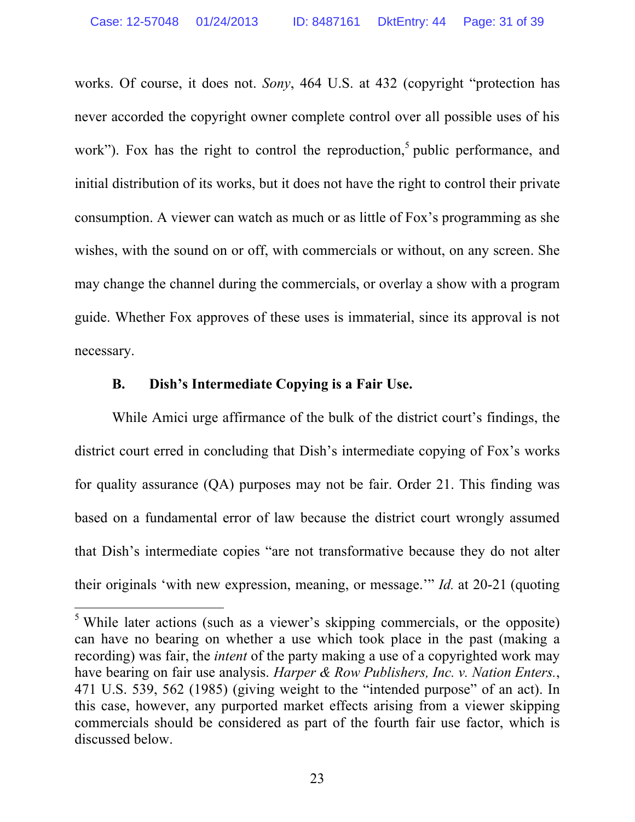works. Of course, it does not. *Sony*, 464 U.S. at 432 (copyright "protection has never accorded the copyright owner complete control over all possible uses of his work"). Fox has the right to control the reproduction,<sup>5</sup> public performance, and initial distribution of its works, but it does not have the right to control their private consumption. A viewer can watch as much or as little of Fox's programming as she wishes, with the sound on or off, with commercials or without, on any screen. She may change the channel during the commercials, or overlay a show with a program guide. Whether Fox approves of these uses is immaterial, since its approval is not necessary.

### **B. Dish's Intermediate Copying is a Fair Use.**

While Amici urge affirmance of the bulk of the district court's findings, the district court erred in concluding that Dish's intermediate copying of Fox's works for quality assurance (QA) purposes may not be fair. Order 21. This finding was based on a fundamental error of law because the district court wrongly assumed that Dish's intermediate copies "are not transformative because they do not alter their originals 'with new expression, meaning, or message.'" *Id.* at 20-21 (quoting

<sup>&</sup>lt;sup>5</sup> While later actions (such as a viewer's skipping commercials, or the opposite) can have no bearing on whether a use which took place in the past (making a recording) was fair, the *intent* of the party making a use of a copyrighted work may have bearing on fair use analysis. *Harper & Row Publishers, Inc. v. Nation Enters.*, 471 U.S. 539, 562 (1985) (giving weight to the "intended purpose" of an act). In this case, however, any purported market effects arising from a viewer skipping commercials should be considered as part of the fourth fair use factor, which is discussed below.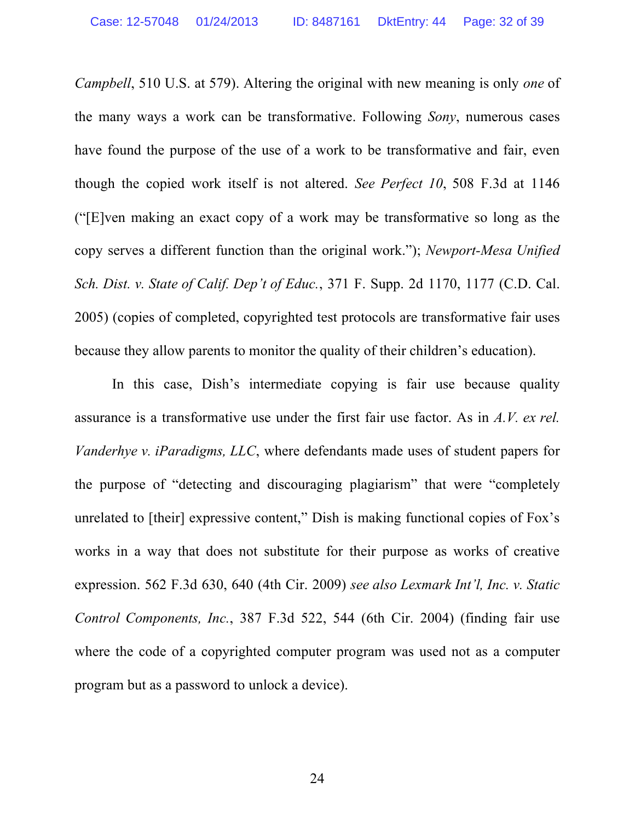*Campbell*, 510 U.S. at 579). Altering the original with new meaning is only *one* of the many ways a work can be transformative. Following *Sony*, numerous cases have found the purpose of the use of a work to be transformative and fair, even though the copied work itself is not altered. *See Perfect 10*, 508 F.3d at 1146 ("[E]ven making an exact copy of a work may be transformative so long as the copy serves a different function than the original work."); *Newport-Mesa Unified Sch. Dist. v. State of Calif. Dep't of Educ.*, 371 F. Supp. 2d 1170, 1177 (C.D. Cal. 2005) (copies of completed, copyrighted test protocols are transformative fair uses because they allow parents to monitor the quality of their children's education).

In this case, Dish's intermediate copying is fair use because quality assurance is a transformative use under the first fair use factor. As in *A.V. ex rel. Vanderhye v. iParadigms, LLC*, where defendants made uses of student papers for the purpose of "detecting and discouraging plagiarism" that were "completely unrelated to [their] expressive content," Dish is making functional copies of Fox's works in a way that does not substitute for their purpose as works of creative expression. 562 F.3d 630, 640 (4th Cir. 2009) *see also Lexmark Int'l, Inc. v. Static Control Components, Inc.*, 387 F.3d 522, 544 (6th Cir. 2004) (finding fair use where the code of a copyrighted computer program was used not as a computer program but as a password to unlock a device).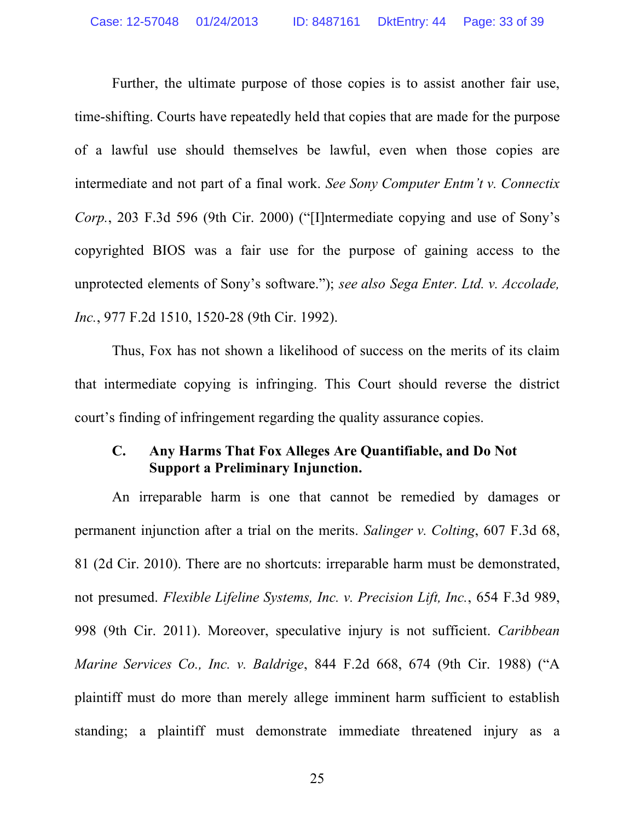Further, the ultimate purpose of those copies is to assist another fair use, time-shifting. Courts have repeatedly held that copies that are made for the purpose of a lawful use should themselves be lawful, even when those copies are intermediate and not part of a final work. *See Sony Computer Entm't v. Connectix Corp.*, 203 F.3d 596 (9th Cir. 2000) ("[I]ntermediate copying and use of Sony's copyrighted BIOS was a fair use for the purpose of gaining access to the unprotected elements of Sony's software."); *see also Sega Enter. Ltd. v. Accolade, Inc.*, 977 F.2d 1510, 1520-28 (9th Cir. 1992).

Thus, Fox has not shown a likelihood of success on the merits of its claim that intermediate copying is infringing. This Court should reverse the district court's finding of infringement regarding the quality assurance copies.

#### **C. Any Harms That Fox Alleges Are Quantifiable, and Do Not Support a Preliminary Injunction.**

An irreparable harm is one that cannot be remedied by damages or permanent injunction after a trial on the merits. *Salinger v. Colting*, 607 F.3d 68, 81 (2d Cir. 2010). There are no shortcuts: irreparable harm must be demonstrated, not presumed. *Flexible Lifeline Systems, Inc. v. Precision Lift, Inc.*, 654 F.3d 989, 998 (9th Cir. 2011). Moreover, speculative injury is not sufficient. *Caribbean Marine Services Co., Inc. v. Baldrige*, 844 F.2d 668, 674 (9th Cir. 1988) ("A plaintiff must do more than merely allege imminent harm sufficient to establish standing; a plaintiff must demonstrate immediate threatened injury as a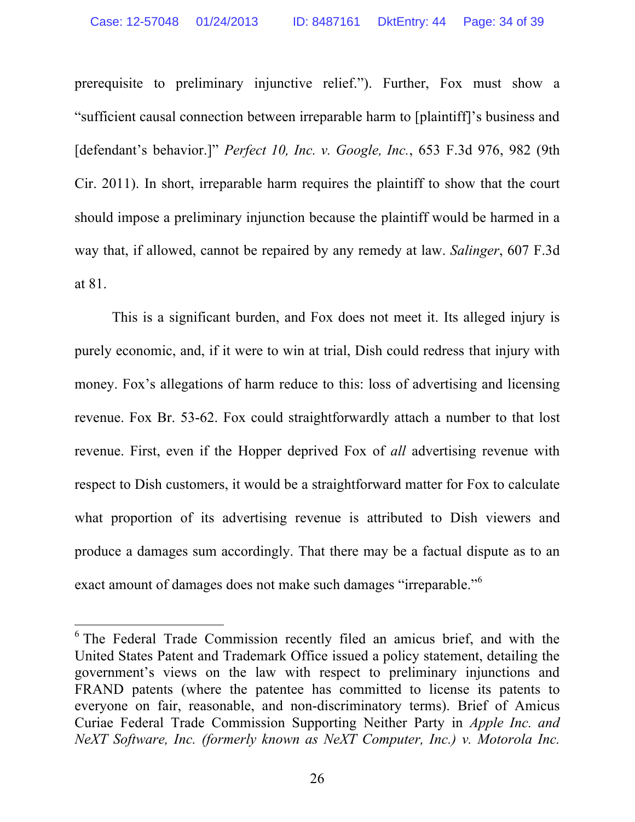prerequisite to preliminary injunctive relief."). Further, Fox must show a "sufficient causal connection between irreparable harm to [plaintiff]'s business and [defendant's behavior.]" *Perfect 10, Inc. v. Google, Inc.*, 653 F.3d 976, 982 (9th Cir. 2011). In short, irreparable harm requires the plaintiff to show that the court should impose a preliminary injunction because the plaintiff would be harmed in a way that, if allowed, cannot be repaired by any remedy at law. *Salinger*, 607 F.3d at 81.

This is a significant burden, and Fox does not meet it. Its alleged injury is purely economic, and, if it were to win at trial, Dish could redress that injury with money. Fox's allegations of harm reduce to this: loss of advertising and licensing revenue. Fox Br. 53-62. Fox could straightforwardly attach a number to that lost revenue. First, even if the Hopper deprived Fox of *all* advertising revenue with respect to Dish customers, it would be a straightforward matter for Fox to calculate what proportion of its advertising revenue is attributed to Dish viewers and produce a damages sum accordingly. That there may be a factual dispute as to an exact amount of damages does not make such damages "irreparable."<sup>6</sup>

<sup>&</sup>lt;sup>6</sup> The Federal Trade Commission recently filed an amicus brief, and with the United States Patent and Trademark Office issued a policy statement, detailing the government's views on the law with respect to preliminary injunctions and FRAND patents (where the patentee has committed to license its patents to everyone on fair, reasonable, and non-discriminatory terms). Brief of Amicus Curiae Federal Trade Commission Supporting Neither Party in *Apple Inc. and NeXT Software, Inc. (formerly known as NeXT Computer, Inc.) v. Motorola Inc.*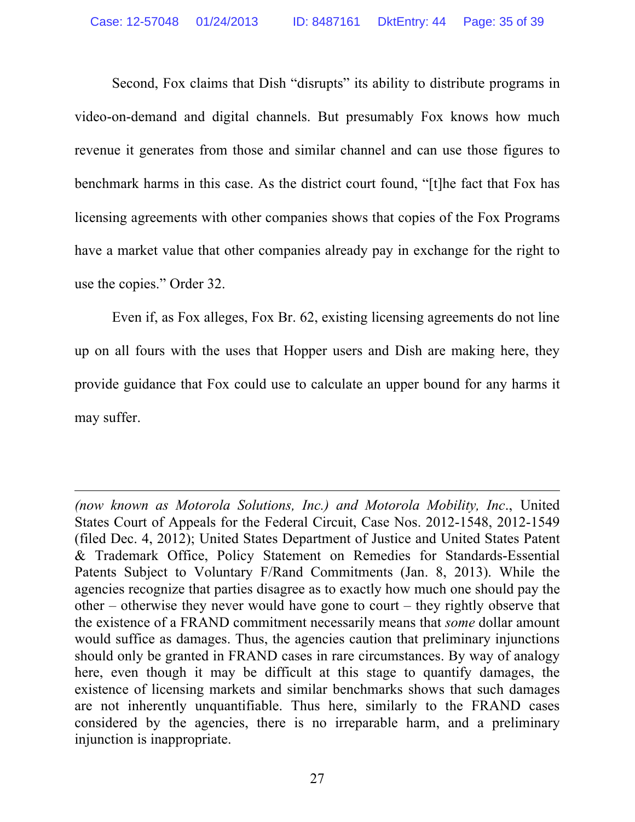Second, Fox claims that Dish "disrupts" its ability to distribute programs in video-on-demand and digital channels. But presumably Fox knows how much revenue it generates from those and similar channel and can use those figures to benchmark harms in this case. As the district court found, "[t]he fact that Fox has licensing agreements with other companies shows that copies of the Fox Programs have a market value that other companies already pay in exchange for the right to use the copies." Order 32.

Even if, as Fox alleges, Fox Br. 62, existing licensing agreements do not line up on all fours with the uses that Hopper users and Dish are making here, they provide guidance that Fox could use to calculate an upper bound for any harms it may suffer.

<u> 1989 - Andrea San Andrea San Andrea San Andrea San Andrea San Andrea San Andrea San Andrea San Andrea San An</u>

*<sup>(</sup>now known as Motorola Solutions, Inc.) and Motorola Mobility, Inc*., United States Court of Appeals for the Federal Circuit, Case Nos. 2012-1548, 2012-1549 (filed Dec. 4, 2012); United States Department of Justice and United States Patent & Trademark Office, Policy Statement on Remedies for Standards-Essential Patents Subject to Voluntary F/Rand Commitments (Jan. 8, 2013). While the agencies recognize that parties disagree as to exactly how much one should pay the other – otherwise they never would have gone to court – they rightly observe that the existence of a FRAND commitment necessarily means that *some* dollar amount would suffice as damages. Thus, the agencies caution that preliminary injunctions should only be granted in FRAND cases in rare circumstances. By way of analogy here, even though it may be difficult at this stage to quantify damages, the existence of licensing markets and similar benchmarks shows that such damages are not inherently unquantifiable. Thus here, similarly to the FRAND cases considered by the agencies, there is no irreparable harm, and a preliminary injunction is inappropriate.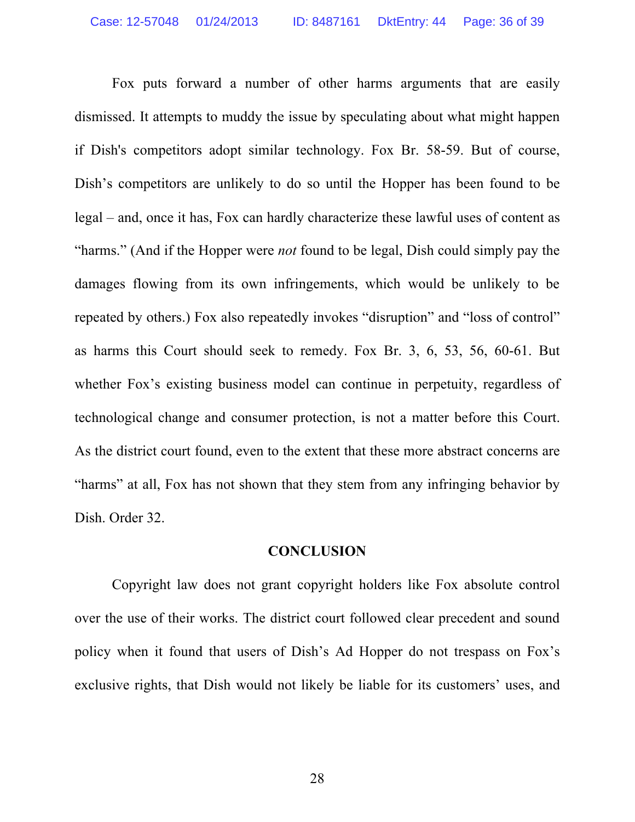Fox puts forward a number of other harms arguments that are easily dismissed. It attempts to muddy the issue by speculating about what might happen if Dish's competitors adopt similar technology. Fox Br. 58-59. But of course, Dish's competitors are unlikely to do so until the Hopper has been found to be legal – and, once it has, Fox can hardly characterize these lawful uses of content as "harms." (And if the Hopper were *not* found to be legal, Dish could simply pay the damages flowing from its own infringements, which would be unlikely to be repeated by others.) Fox also repeatedly invokes "disruption" and "loss of control" as harms this Court should seek to remedy. Fox Br. 3, 6, 53, 56, 60-61. But whether Fox's existing business model can continue in perpetuity, regardless of technological change and consumer protection, is not a matter before this Court. As the district court found, even to the extent that these more abstract concerns are "harms" at all, Fox has not shown that they stem from any infringing behavior by Dish. Order 32.

#### **CONCLUSION**

Copyright law does not grant copyright holders like Fox absolute control over the use of their works. The district court followed clear precedent and sound policy when it found that users of Dish's Ad Hopper do not trespass on Fox's exclusive rights, that Dish would not likely be liable for its customers' uses, and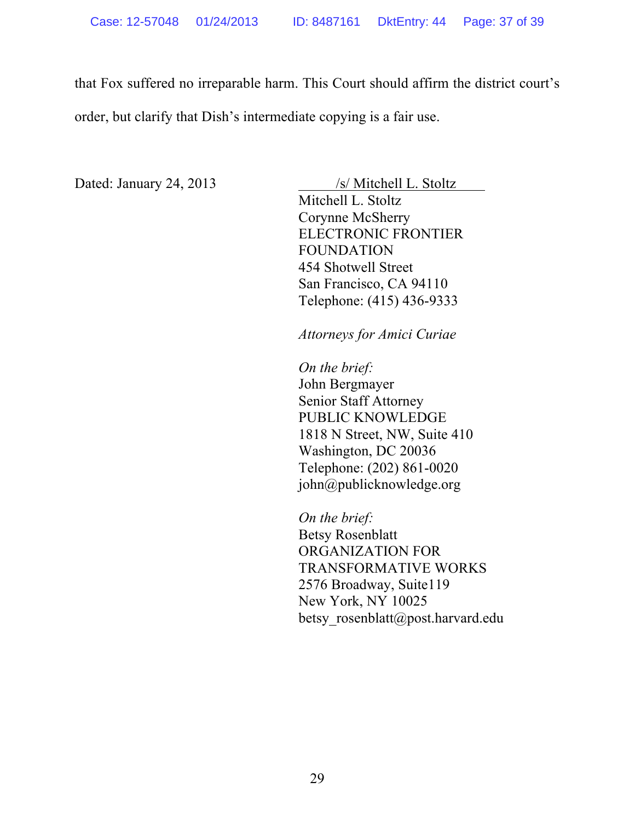that Fox suffered no irreparable harm. This Court should affirm the district court's order, but clarify that Dish's intermediate copying is a fair use.

Dated: January 24, 2013 /s/ Mitchell L. Stoltz

Mitchell L. Stoltz Corynne McSherry ELECTRONIC FRONTIER FOUNDATION 454 Shotwell Street San Francisco, CA 94110 Telephone: (415) 436-9333

*Attorneys for Amici Curiae*

*On the brief:* John Bergmayer Senior Staff Attorney PUBLIC KNOWLEDGE 1818 N Street, NW, Suite 410 Washington, DC 20036 Telephone: (202) 861-0020 john@publicknowledge.org

*On the brief:* Betsy Rosenblatt ORGANIZATION FOR TRANSFORMATIVE WORKS 2576 Broadway, Suite119 New York, NY 10025 betsy rosenblatt@post.harvard.edu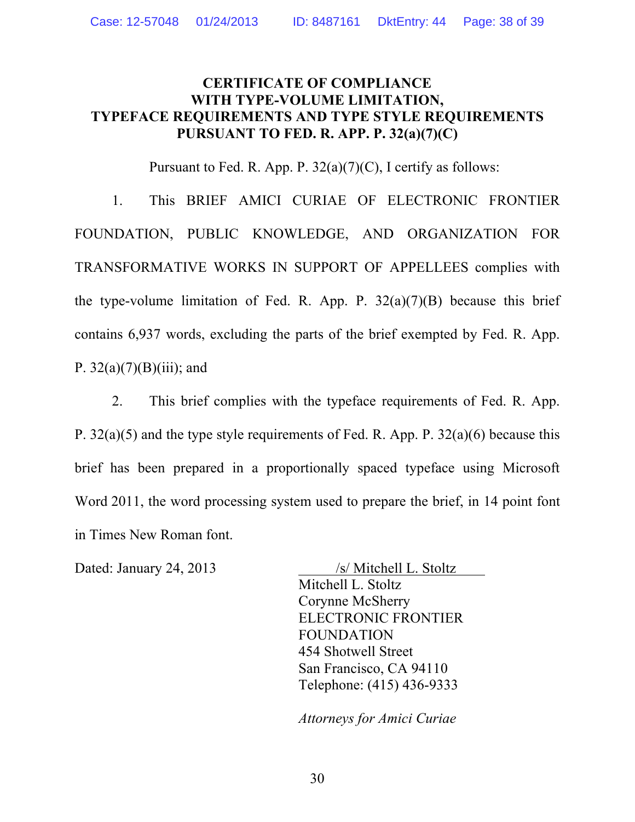### **CERTIFICATE OF COMPLIANCE WITH TYPE-VOLUME LIMITATION, TYPEFACE REQUIREMENTS AND TYPE STYLE REQUIREMENTS PURSUANT TO FED. R. APP. P. 32(a)(7)(C)**

Pursuant to Fed. R. App. P.  $32(a)(7)(C)$ , I certify as follows:

1. This BRIEF AMICI CURIAE OF ELECTRONIC FRONTIER FOUNDATION, PUBLIC KNOWLEDGE, AND ORGANIZATION FOR TRANSFORMATIVE WORKS IN SUPPORT OF APPELLEES complies with the type-volume limitation of Fed. R. App. P.  $32(a)(7)(B)$  because this brief contains 6,937 words, excluding the parts of the brief exempted by Fed. R. App. P.  $32(a)(7)(B)(iii)$ ; and

2. This brief complies with the typeface requirements of Fed. R. App. P. 32(a)(5) and the type style requirements of Fed. R. App. P. 32(a)(6) because this brief has been prepared in a proportionally spaced typeface using Microsoft Word 2011, the word processing system used to prepare the brief, in 14 point font in Times New Roman font.

Dated: January 24, 2013 /s/ Mitchell L. Stoltz Mitchell L. Stoltz Corynne McSherry ELECTRONIC FRONTIER FOUNDATION 454 Shotwell Street San Francisco, CA 94110 Telephone: (415) 436-9333

*Attorneys for Amici Curiae*